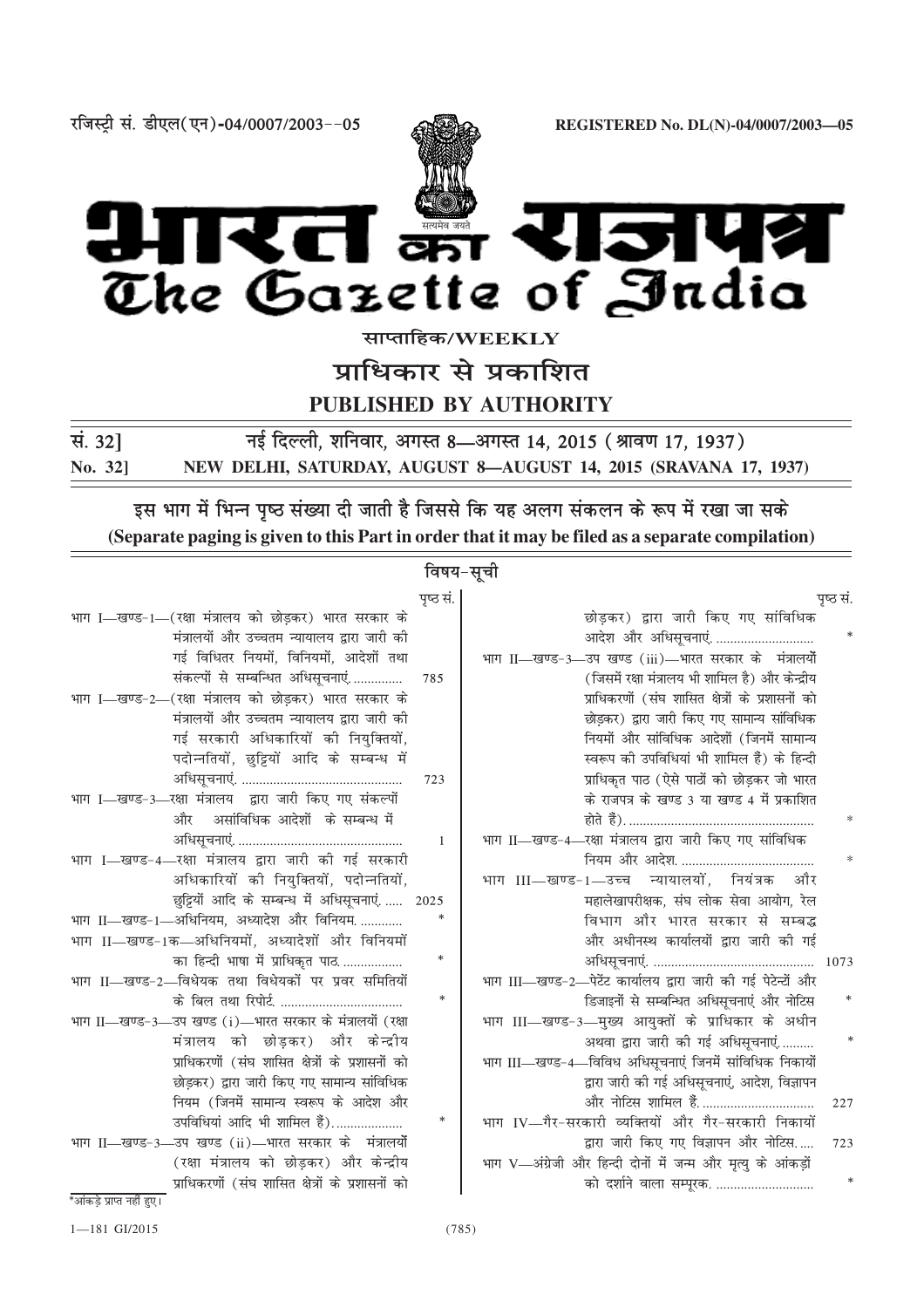

**jftLVªh la- Mh,y¼,u½-04@0007@2003&&05 REGISTERED No. DL(N)-04/0007/2003—05**



**lkIrkfgd@WEEKLY**

प्राधिकार से प्रकाशित

**PUBLISHED BY AUTHORITY**

**la- 32] ubZ fnYyh] 'kfuokj] vxLr 8—vxLr 14] 2015 ¼Jko.k 17] 1937½ No. 32] NEW DELHI, SATURDAY, AUGUST 8—AUGUST 14, 2015 (SRAVANA 17, 1937)**

इस भाग में भिन्न पृष्ठ संख्या दी जाती है जिससे कि यह अलग संकलन के रूप में रखा जा सके **(Separate paging is given to this Part in order that it may be filed as a separate compilation)**

# **बिषय-सूची**

|                                                           | पृष्ठ सं. |                                                               | पृष्ठ सं. |
|-----------------------------------------------------------|-----------|---------------------------------------------------------------|-----------|
| भाग I—खण्ड-1—(रक्षा मंत्रालय को छोड़कर) भारत सरकार के     |           | छोड़कर) द्वारा जारी किए गए सांविधिक                           |           |
| मंत्रालयों और उच्चतम न्यायालय द्वारा जारी की              |           | आदेश और अधिसूचनाएं.                                           |           |
| गई विधितर नियमों, विनियमों, आदेशों तथा                    |           | भाग II—खण्ड-3—उप खण्ड (iii)—भारत सरकार के मंत्रालयों          |           |
| संकल्पों से सम्बन्धित अधिसूचनाएं                          | 785       | (जिसमें रक्षा मंत्रालय भी शामिल है) और केन्द्रीय              |           |
| भाग I—खण्ड-2—(रक्षा मंत्रालय को छोड़कर) भारत सरकार के     |           | प्राधिकरणों (संघ शासित क्षेत्रों के प्रशासनों को              |           |
| मंत्रालयों और उच्चतम न्यायालय द्वारा जारी की              |           | छोड़कर) द्वारा जारी किए गए सामान्य सांविधिक                   |           |
| गई सरकारी अधिकारियों की नियुक्तियों,                      |           | नियमों और सांविधिक आदेशों (जिनमें सामान्य                     |           |
| पदोन्नतियों, छुट्टियों आदि के सम्बन्ध में                 |           | स्वरूप की उपविधियां भी शामिल हैं) के हिन्दी                   |           |
|                                                           | 723       | प्राधिकृत पाठ (ऐसे पाठों को छोड़कर जो भारत                    |           |
| भाग I—खण्ड-3—रक्षा मंत्रालय द्वारा जारी किए गए संकल्पों   |           | के राजपत्र के खण्ड 3 या खण्ड 4 में प्रकाशित                   |           |
| और असांविधिक आदेशों के सम्बन्ध में                        |           |                                                               |           |
|                                                           | 1         | भाग II—खण्ड-4—रक्षा मंत्रालय द्वारा जारी किए गए सांविधिक      |           |
| भाग I-खण्ड-4-रक्षा मंत्रालय द्वारा जारी की गई सरकारी      |           |                                                               |           |
| अधिकारियों की नियुक्तियों, पदोन्नतियों,                   |           | भाग III—खण्ड-1—उच्च न्यायालयों, नियंत्रक और                   |           |
| छुट्टियों आदि के सम्बन्ध में अधिसूचनाएं 2025              |           | महालेखापरीक्षक, संघ लोक सेवा आयोग, रेल                        |           |
| भाग II-खण्ड-1-अधिनियम, अध्यादेश और विनियम                 | $\ast$    | विभाग और भारत सरकार से सम्बद्ध                                |           |
| भाग II-खण्ड-1क-अधिनियमों, अध्यादेशों और विनियमों          |           | और अधीनस्थ कार्यालयों द्वारा जारी की गई                       |           |
| का हिन्दी भाषा में प्राधिकृत पाठ                          | $\ast$    |                                                               |           |
| भाग II—खण्ड-2—विधेयक तथा विधेयकों पर प्रवर समितियों       |           | भाग III-खण्ड-2-पेटेंट कार्यालय द्वारा जारी की गई पेटेन्टों और |           |
|                                                           | $\ast$    | डिजाइनों से सम्बन्धित अधिसूचनाएं और नोटिस                     |           |
| भाग II—खण्ड-3—उप खण्ड (i)—भारत सरकार के मंत्रालयों (रक्षा |           | भाग III—खण्ड-3—मुख्य आयुक्तों के प्राधिकार के अधीन            |           |
| मंत्रालय को छोड़कर) और केन्द्रीय                          |           | अथवा द्वारा जारी की गई अधिसूचनाएं                             |           |
| प्राधिकरणों (संघ शासित क्षेत्रों के प्रशासनों को          |           | भाग III—खण्ड-4—विविध अधिसूचनाएं जिनमें सांविधिक निकायों       |           |
| छोड़कर) द्वारा जारी किए गए सामान्य सांविधिक               |           | द्वारा जारी की गई अधिसूचनाएं, आदेश, विज्ञापन                  |           |
| नियम (जिनमें सामान्य स्वरूप के आदेश और                    |           | और नोटिस शामिल हैं                                            | 227       |
| उपविधियां आदि भी शामिल हैं)                               | $\ast$    | भाग IV—गैर-सरकारी व्यक्तियों और गैर-सरकारी निकायों            |           |
| भाग II—खण्ड-3—उप खण्ड (ii)—भारत सरकार के मंत्रालयों       |           | द्वारा जारी किए गए विज्ञापन और नोटिस                          | 723       |
| (रक्षा मंत्रालय को छोड़कर) और केन्द्रीय                   |           | भाग V-अंग्रेजी और हिन्दी दोनों में जन्म और मृत्यु के आंकड़ों  |           |
| प्राधिकरणों (संघ शासित क्षेत्रों के प्रशासनों को          |           | को दर्शाने वाला सम्पूरक.                                      |           |
| *आंकड़े प्राप्त नहीं हुए।                                 |           |                                                               |           |

| रा जारो किए गए सामान्य साविधिक       |        |
|--------------------------------------|--------|
| मिं सामान्य स्वरूप के आदेश और        |        |
| नादि भी शामिल हैं)                   | $\ast$ |
| ii)—भारत सरकार के मंत्रालयों         |        |
| लय को छोडकर) और केन्द्रीय            |        |
| (संघ शासित क्षेत्रों के प्रशासनों को |        |
|                                      |        |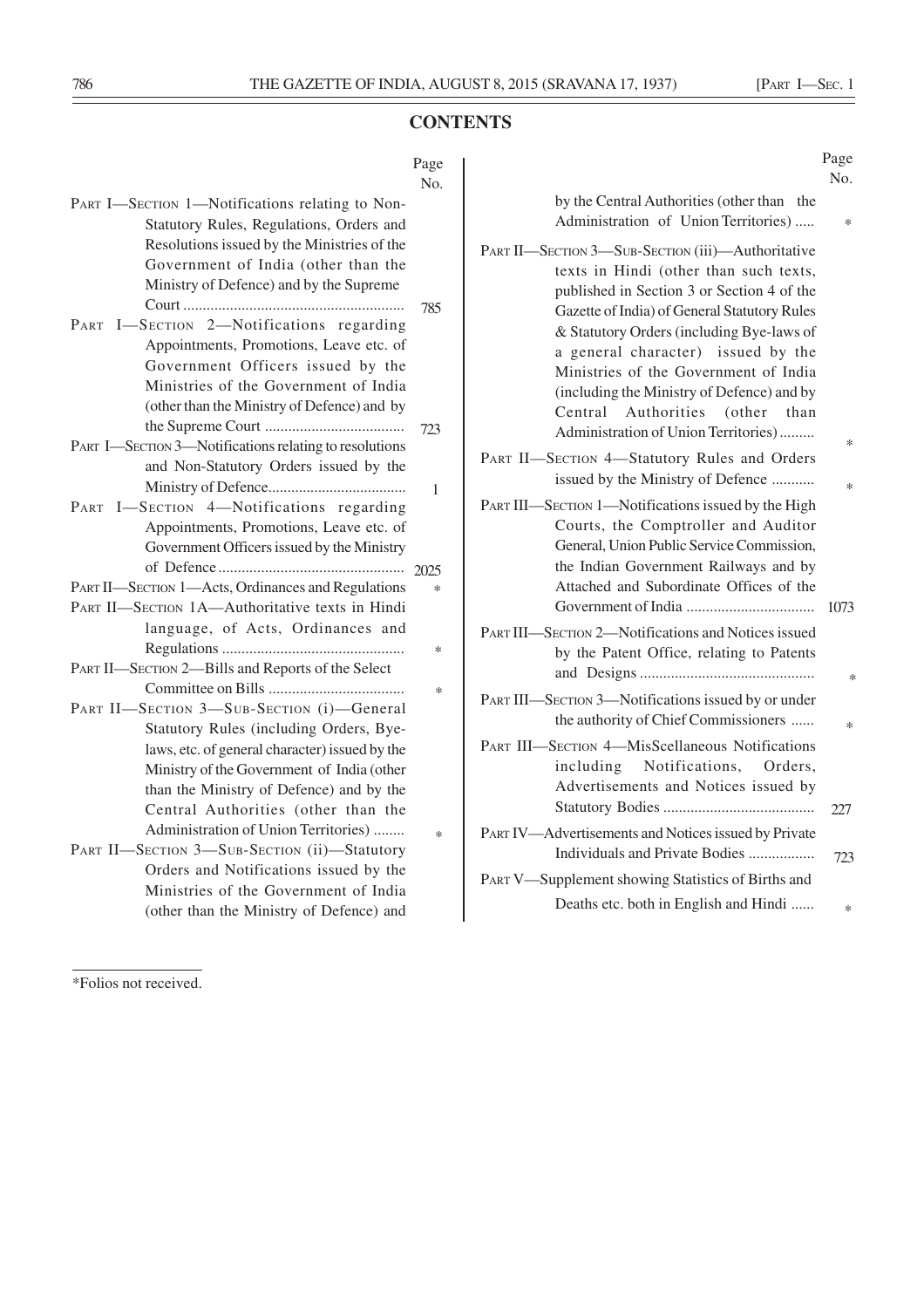# **CONTENTS**

## Page No.

| PART I-SECTION 1-Notifications relating to Non-        |        |
|--------------------------------------------------------|--------|
| Statutory Rules, Regulations, Orders and               |        |
| Resolutions issued by the Ministries of the            |        |
| Government of India (other than the                    |        |
| Ministry of Defence) and by the Supreme                |        |
|                                                        | 785    |
| PART I-SECTION 2-Notifications regarding               |        |
| Appointments, Promotions, Leave etc. of                |        |
| Government Officers issued by the                      |        |
| Ministries of the Government of India                  |        |
| (other than the Ministry of Defence) and by            |        |
|                                                        | 723    |
| PART I—SECTION 3—Notifications relating to resolutions |        |
| and Non-Statutory Orders issued by the                 |        |
|                                                        | 1      |
| PART I-SECTION 4-Notifications regarding               |        |
| Appointments, Promotions, Leave etc. of                |        |
| Government Officers issued by the Ministry             |        |
|                                                        |        |
|                                                        | 2025   |
| PART II—SECTION 1—Acts, Ordinances and Regulations     | $\ast$ |
| PART II-SECTION 1A-Authoritative texts in Hindi        |        |
| language, of Acts, Ordinances and                      |        |
|                                                        | $\ast$ |
| PART II-SECTION 2-Bills and Reports of the Select      |        |
|                                                        | $\ast$ |
| PART II-SECTION 3-SUB-SECTION (i)-General              |        |
| Statutory Rules (including Orders, Bye-                |        |
| laws, etc. of general character) issued by the         |        |
| Ministry of the Government of India (other             |        |
| than the Ministry of Defence) and by the               |        |
| Central Authorities (other than the                    |        |
| Administration of Union Territories)                   | $\ast$ |
| PART II-SECTION 3-SUB-SECTION (ii)-Statutory           |        |
| Orders and Notifications issued by the                 |        |
| Ministries of the Government of India                  |        |

# Page No.

| *      | by the Central Authorities (other than the<br>Administration of Union Territories)                                                                                                                                                                                                                                                                                                                                                             |
|--------|------------------------------------------------------------------------------------------------------------------------------------------------------------------------------------------------------------------------------------------------------------------------------------------------------------------------------------------------------------------------------------------------------------------------------------------------|
| $\ast$ | PART II-SECTION 3-SUB-SECTION (iii)-Authoritative<br>texts in Hindi (other than such texts,<br>published in Section 3 or Section 4 of the<br>Gazette of India) of General Statutory Rules<br>& Statutory Orders (including Bye-laws of<br>a general character) issued by the<br>Ministries of the Government of India<br>(including the Ministry of Defence) and by<br>Central Authorities (other than<br>Administration of Union Territories) |
| *      | PART II-SECTION 4-Statutory Rules and Orders<br>issued by the Ministry of Defence                                                                                                                                                                                                                                                                                                                                                              |
| 1073   | PART III—SECTION 1—Notifications issued by the High<br>Courts, the Comptroller and Auditor<br>General, Union Public Service Commission,<br>the Indian Government Railways and by<br>Attached and Subordinate Offices of the                                                                                                                                                                                                                    |
| $\ast$ | PART III—SECTION 2—Notifications and Notices issued<br>by the Patent Office, relating to Patents                                                                                                                                                                                                                                                                                                                                               |
| $\ast$ | PART III—SECTION 3—Notifications issued by or under<br>the authority of Chief Commissioners                                                                                                                                                                                                                                                                                                                                                    |
|        | <b>PART III—SECTION 4—MisScellaneous Notifications</b><br>including Notifications, Orders,<br>Advertisements and Notices issued by                                                                                                                                                                                                                                                                                                             |
| 227    | PART IV—Advertisements and Notices issued by Private                                                                                                                                                                                                                                                                                                                                                                                           |
| 723    | Individuals and Private Bodies                                                                                                                                                                                                                                                                                                                                                                                                                 |
|        | PART V—Supplement showing Statistics of Births and<br>Deaths etc. both in English and Hindi                                                                                                                                                                                                                                                                                                                                                    |
| ∗      |                                                                                                                                                                                                                                                                                                                                                                                                                                                |

<sup>\*</sup>Folios not received.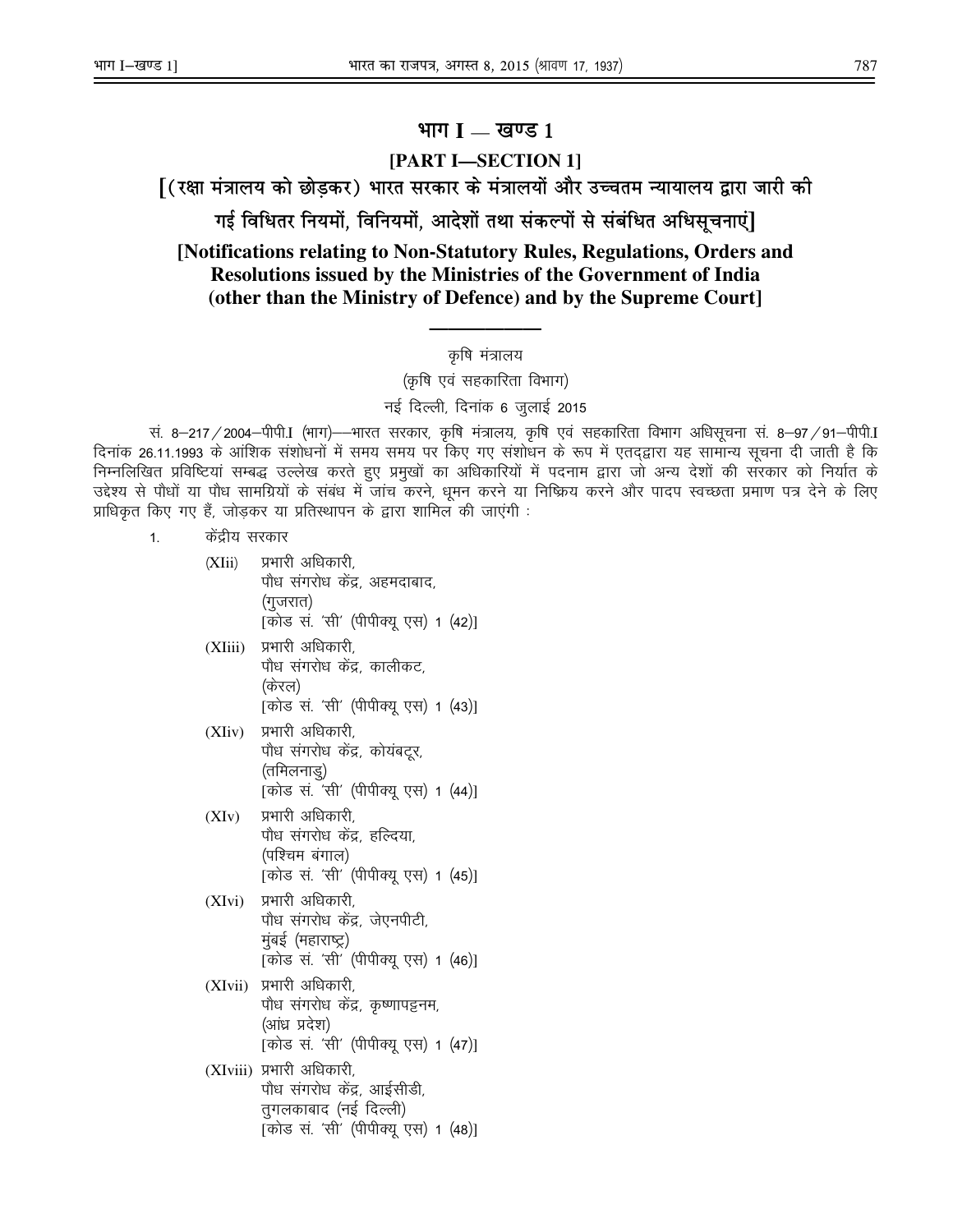# **Hkkx I** — **[k.M 1**

# **[PART I—SECTION 1]**

 $\bm{\mathsf{r}}$ ( रक्षा मंत्रालय को छोड़कर) भारत सरकार के मंत्रालयों और उच्चतम न्यायालय द्वारा जारी की

गई विधितर नियमों, विनियमों, आदेशों तथा संकल्पों से संबंधित अधिसूचनाएं]

**[Notifications relating to Non-Statutory Rules, Regulations, Orders and Resolutions issued by the Ministries of the Government of India (other than the Ministry of Defence) and by the Supreme Court]** 

# **——————**  कृषि मंत्रालय

(कृषि एवं सहकारिता विभाग)

#### नई दिल्ली, दिनांक 6 जुलाई 2015

.सं. 8—217 / 2004—पीपी.I (भाग)—–भारत सरकार, कृषि मंत्रालय, कृषि एवं सहकारिता विभाग अधिसूचना सं. 8—97 / 91—पीपी.I दिनांक 26.11.1993 के आंशिक संशोधनों में समय समय पर किए गए संशोधन के रूप में एतद्द्वारा यह सामान्य सूचना दी जाती है कि निम्नलिखित प्रविष्टियां सम्बद्ध उल्लेख करते हुए प्रमुखों का अधिकारियों में पदनाम द्वारा जो अन्य देशों की संरकार को निर्यात के उद्देश्य से पौधों या पौध सामग्रियों के संबंध में जांच करने, धुमन करने या निष्क्रिय करने और पादप स्वच्छता प्रमाण पत्र देने के लिए प्राधिकृत किए गए हैं, जोड़कर या प्रतिस्थापन के द्वारा शामिल की जाएंगी :

- 1. केंद्रीय सरकार
	- (XIii) प्रभारी अधिकारी, पौध संगरोध केंद्र, अहमदाबाद, (गुजरात) [कोड सं. 'सी' (पीपीक्यू एस) 1 (42)]
	- (XIiii) प्रभारी अधिकारी, पौध संगरोध केंद्र, कालीकट, (केरल) [कोड सं. 'सी' (पीपीक्यू एस) 1 (43)]
	- (XIiv) प्रभारी अधिकारी, पौध संगरोध केंद्र, कोयंबटूर, (तमिलनाडु) [कोड सं. 'सी' (पीपीक्यू एस) 1 (44)]
	- $(XIv)$  प्रभारी अधिकारी, पौध सगरोध केंद्र, हल्दिया, (पश्चिम बंगाल) [कोड सं. 'सी' (पीपीक्यू एस) 1 (45)]
	- $(XIvi)$  प्रभारी अधिकारी, पौध संगरोध केंद्र, जेएनपीटी, मुंबई (महाराष्ट्र) [कोड सं. 'सी' (पीपीक्यु एस) 1 (46)]
	- (XIvii) प्रभारी अधिकारी, पौध संगरोध केंद्र, कृष्णापट्टनम, (आंध्र प्रदेश) [कोड स. 'सी' (पीपीक्यू एस) 1 (47)]
	- (XIviii) प्रभारी अधिकारी, पौध संगरोध केंद्र, आईसीडी, तुगलकाबाद (नई दिल्ली) [कोड सं. 'सी' (पीपीक्यू एस) 1 (48)]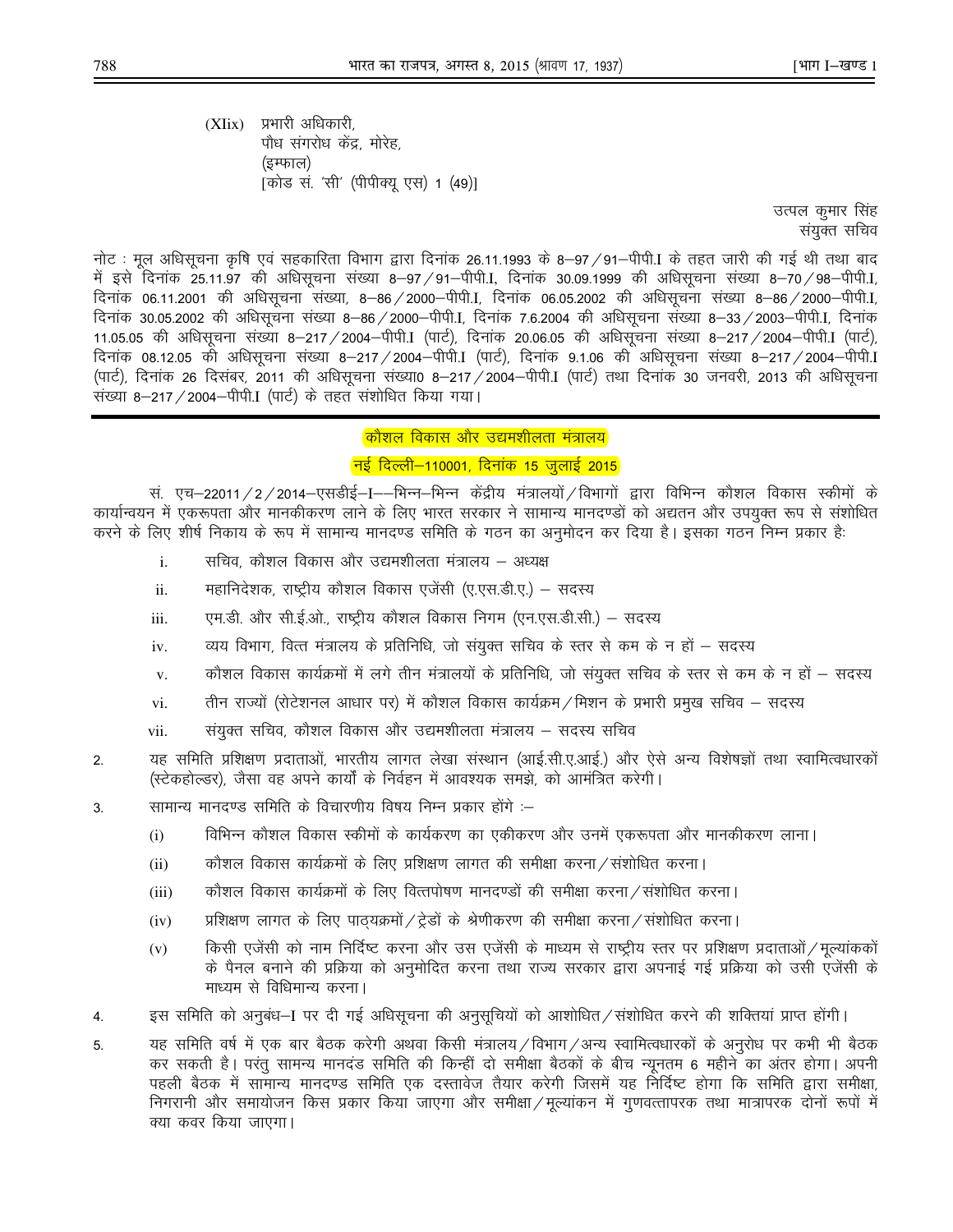$(XIix)$  प्रभारी अधिकारी. पौध संगरोध केंद्र. मोरेह. (इम्फाल) [कोड सं. 'सी' (पीपीक्यु एस) 1 (49)]

> उत्पल कुमार सिंह संयुक्त सचिव

नोट : मूल अधिसूचना कृषि एवं सहकारिता विभाग द्वारा दिनांक 26.11.1993 के 8–97/91–पीपी.I के तहत जारी की गई थी तथा बाद में इसे दिनांक 25.11.97 की अधिसूचना संख्या 8–97/91–पीपी.I, दिनांक 30.09.1999 की अधिसूचना संख्या 8–70/98–पीपी.I, दिनांक 06.11.2001 की अधिसूचना संख्या, 8–86 / 2000–पीपी.I, दिनांक 06.05.2002 की अधिसूचना संख्या 8–86 / 2000–पीपी.I, दिनांक 30.05.2002 की अधिसूचना संख्या 8–86/2000–पीपी.I, दिनांक 7.6.2004 की अधिसूचना संख्या 8–33/2003–पीपी.I, दिनांक 11.05.05 की अधिसूचना संख्या 8-217 / 2004-पीपी.I (पार्ट), दिनाक 20.06.05 की अधिसूचना संख्या 8-217 / 2004-पीपी.I (पार्ट), दिनांक 08.12.05 की अधिसूचना संख्या 8–217 / 2004–पीपी.I (पार्ट), दिनांक 9.1.06 की अधिसूचना संख्या 8–217 / 2004–पीपी.I  $(412)$ , दिनांक 26 दिसंबर, 2011 की अधिसूचना संख्या0 8-217 / 2004-पीपी.I (पार्ट) तथा दिनांक 30 जनवरी, 2013 की अधिसूचना संख्या 8-217 / 2004-पीपी.I (पार्ट) के तहत संशोधित किया गया।

## <mark>कौशल विकास और उद्यमशीलता मंत्रालय</mark>

## <mark>'नई दिल्ली—110001, दिनाक 15 जुलाई 2015</mark>

सं. एच–22011/2/2014–एसडीई–I––भिन्न–भिन्न केंद्रीय मंत्रालयों/विभागों द्वारा विभिन्न कौशल विकास स्कीमों के कार्यान्वयन में एकरूपता और मानकीकरण लाने के लिए भारत सरकार ने सामान्य मानदण्डों को अद्यतन और उपयुक्त रूप से संशोधित करने के लिए शीर्ष निकाय के रूप में सामान्य मानदण्ड समिति के गठन का अनुमोदन कर दिया है। इसका गठन निम्न प्रकार है:

- $i.$  and  $\vec{r}$  and  $\vec{r}$  depends on the star matrice of  $i$  m  $\vec{r}$
- ii. महानिदेशक, राष्ट्रीय कौशल विकास एजेंसी (ए.एस.डी.ए.) सदस्य
- iii. एम.डी. और सी.ई.ओ., राष्ट्रीय कौशल विकास निगम (एन.एस.डी.सी.) सदस्य
- <u>i</u>v. व्यय विभाग, वित्त मंत्रालय के प्रतिनिधि, जो संयुक्त सचिव के स्तर से कम के न हों सदस्य
- v. व्होशल विकास कार्यक्रमों में लगे तीन मंत्रालयों के प्रतिनिधि, जो संयुक्त सचिव के स्तर से कम के न हों सदस्य
- vi. तीन राज्यों (रोटेशनल आधार पर) में कौशल विकास कार्यक्रम / मिशन के प्रभारी प्रमुख सचिव सदस्य
- vii. l a; संयुक्त सचिव, कौशल विकास और उद्यमशीलता मंत्रालय सदस्य सचिव
- 2. यह समिति प्रशिक्षण प्रदाताओं, भारतीय लागत लेखा संस्थान (आई.सी.ए.आई.) और ऐसे अन्य विशेषज्ञों तथा स्वामित्वधारकों (स्टेकहोल्डर), जैसा वह अपने कार्यों के निर्वहन में आवश्यक समझे, को आमंत्रित करेगी।
- 3. सामान्य मानदण्ड समिति के विचारणीय विषय निम्न प्रकार होंगे :–
	- (i) विभिन्न कौशल विकास स्कीमों के कार्यकरण का एकीकरण और उनमें एकरूपता और मानकीकरण लाना।
	- (ii)  $\qquad$  कौशल विकास कार्यक्रमों के लिए प्रशिक्षण लागत की समीक्षा करना / संशोधित करना।
	- (iii) anेशल विकास कार्यक्रमों के लिए वित्तपोषण मानदण्डों की समीक्षा करना / संशोधित करना |
	- (iv)  $\qquad$  प्रशिक्षण लागत के लिए पाठ्यक्रमों  $\!/\dot{\xi}$ डों के श्रेणीकरण की समीक्षा करना  $\!$  संशोधित करना |
	- (v) किसी एजेंसी को नाम निर्दिष्ट करना और उस एजेंसी के माध्यम से राष्ट्रीय स्तर पर प्रशिक्षण प्रदाताओं /मूल्यांककों के पैनल बनाने की प्रक्रिया को अनुमोदित करना तथा राज्य सरकार द्वारा अपनाई गई प्रक्रिया को उसी एजेंसी के माध्यम से विधिमान्य करना।
- 4. इस समिति को अनुबंध—I पर दी गई अधिसूचना की अनुसूचियों को आशोधित/संशोधित करने की शक्तियां प्राप्त होंगी।
- 5. यह समिति वर्ष में एक बार बैठक करेगी अथवा किसी मंत्रालय/विभाग/अन्य स्वामित्वधारकों के अनुरोध पर कभी भी बैठक कर सकती है। परंतु सामन्य मानदंड समिति की किन्हीं दो समीक्षा बैठकों के बीच न्यूनतम 6 महीने का अंतर होगा। अपनी पहली बैठक में सामान्य मानदण्ड समिति एक दस्तावेज तैयार करेगी जिसमें यह निर्दिष्ट होगा कि समिति द्वारा समीक्षा, निगरानी और समायोजन किस प्रकार किया जाएगा और समीक्षा /मूल्यांकन में गुणवत्तापरक तथा मात्रापरक दोनों रूपों में क्या कवर किया जाएगा।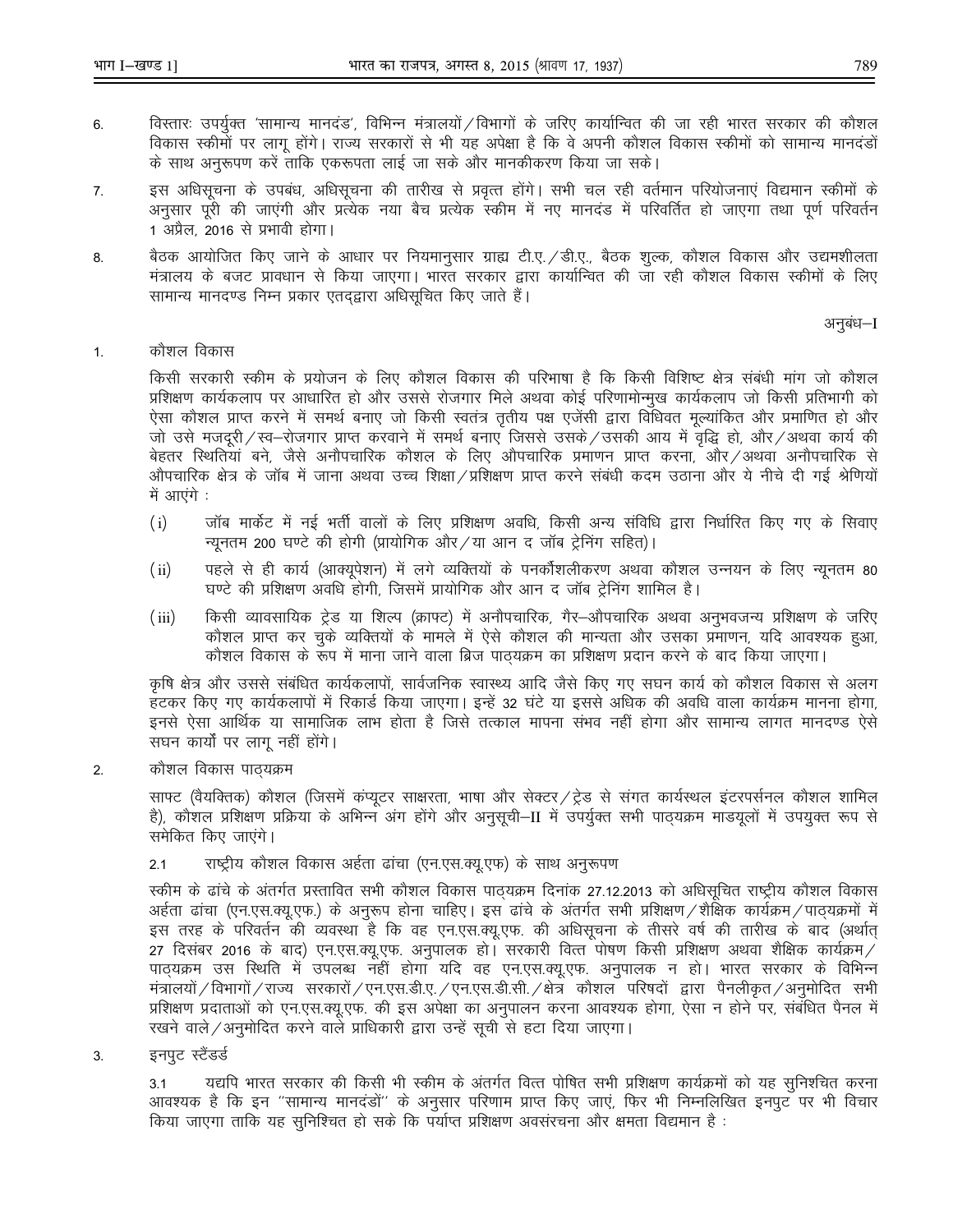- विस्तारः उपर्युक्त 'सामान्य मानदंड', विभिन्न मंत्रालयों / विभागों के जरिए कार्यान्वित की जा रही भारत सरकार की कौशल 6. विकास स्कीमों पर लागू होंगे। राज्य सरकारों से भी यह अपेक्षा है कि वे अपनी कौशल विकास स्कीमों को सामान्य मानदंडो के साथ अनुरूपण करें ताकि एकरूपता लाई जा सके और मानकीकरण किया जा सके।
- इस अधिसूचना के उपबंध, अधिसूचना की तारीख से प्रवृत्त होंगे। सभी चल रही वर्तमान परियोजनाएं विद्यमान स्कीमों के 7. अनुसार पूरी की जाएंगी और प्रत्येक नया बैच प्रत्येक स्कीम में नए मानदंड में परिवर्तित हो जाएगा तथा पूर्ण परिवर्तन 1 अप्रैल, 2016 से प्रभावी होगा।
- बैठक आयोजित किए जाने के आधार पर नियमानुसार ग्राह्य टी.ए. / डी.ए., बैठक शुल्क, कौशल विकास और उद्यमशीलता 8. मंत्रालय के बजट प्रावधान से किया जाएगा। भारत सरकार द्वारा कार्यान्वित की जा रही कौशल विकास स्कीमों के लिए सामान्य मानदण्ड निम्न प्रकार एतदृद्वारा अधिसूचित किए जाते हैं।

अनुबंध–I

कौशल विकास  $1.$ 

> किसी सरकारी स्कीम के प्रयोजन के लिए कौशल विकास की परिभाषा है कि किसी विशिष्ट क्षेत्र संबंधी मांग जो कौशल प्रशिक्षण कार्यकलाप पर आधारित हो और उससे रोजगार मिले अथवा कोई परिणामोन्मूख कार्यकलाप जो किसी प्रतिभागी को ऐसा कौशल प्राप्त करने में समर्थ बनाए जो किसी स्वतंत्र तृतीय पक्ष एजेंसी द्वारा विधिवत मूल्यांकित और प्रमाणित हो और जो उसे मजदूरी ⁄ स्व—रोजगार प्राप्त करवाने में समर्थ बनाए जिससे उसके ⁄ उसकी आय में वृद्धि हो, और ⁄ अथवा कार्य की बेहतर स्थितियां बने, जैसे अनौपचारिक कौशल के लिए औपचारिक प्रमाणन प्राप्त करना, और ⁄ अथवा अनौपचारिक से औपचारिक क्षेत्र के जॉब में जाना अथवा उच्च शिक्षा ⁄ प्रशिक्षण प्राप्त करने संबंधी कदम उठाना और ये नीचे दी गई श्रेणियों में आएंगे :

- जॉब मार्केट में नई भर्ती वालों के लिए प्रशिक्षण अवधि, किसी अन्य संविधि द्वारा निर्धारित किए गए के सिवाए  $(i)$ न्यूनतम 200 घण्टे की होगी (प्रायोगिक और / या आन द जॉब ट्रेनिंग सहित)।
- पहले से ही कार्य (आक्युपेशन) में लगे व्यक्तियों के पनर्कोशलीकरण अथवा कौशल उन्नयन के लिए न्युनतम 80  $(ii)$ घण्टे की प्रशिक्षण अवधि होगी, जिसमें प्रायोगिक और आन द जॉब ट्रेनिंग शामिल है।
- किसी व्यावसायिक ट्रेड या शिल्प (क्राफ्ट) में अनौपचारिक, गैर–औपचारिक अथवा अनुभवजन्य प्रशिक्षण के जरिए  $(iii)$ कौशल प्राप्त कर चुके व्यक्तियों के मामले में ऐसे कौशल की मान्यता और उसका प्रमाणन, यदि आवश्यक हुआ, कौशल विकास के रूप में माना जाने वाला ब्रिज पाठयक्रम का प्रशिक्षण प्रदान करने के बाद किया जाएगा।

कृषि क्षेत्र और उससे संबंधित कार्यकलापों, सार्वजनिक स्वास्थ्य आदि जैसे किए गए सघन कार्य को कौशल विकास से अलग हटकर किए गए कार्यकलापों में रिकार्ड किया जाएगा। इन्हें 32 घंटे या इससे अधिक की अवधि वाला कार्यक्रम मानना होगा, इनसे ऐसा आर्थिक या सामाजिक लाभ होता है जिसे तत्काल मापना संभव नहीं होगा और सामान्य लागत मानदण्ड ऐसे सघन कार्यों पर लागू नहीं होंगे।

कौशल विकास पाठयक्रम  $\overline{2}$ .

> साफ्ट (वैयक्तिक) कौशल (जिसमें कप्यूटर साक्षरता, भाषा और सेक्टर / ट्रेड से संगत कार्यस्थल इंटरपर्सनल कौशल शामिल है), कौशल प्रशिक्षण प्रक्रिया के अभिन्न अंग होंगे और अनुसूची–II में उपर्युक्त सभी पाठयक्रम माडयूलों में उपयुक्त रूप से समेकित किए जाएंगे।

राष्ट्रीय कौशल विकास अर्हता ढांचा (एन.एस.क्यू.एफ) के साथ अनुरूपण  $2.1$ 

स्कीम के ढांचे के अंतर्गत प्रस्तावित सभी कौशल विकास पाठयक्रम दिनांक 27.12.2013 को अधिसुचित राष्ट्रीय कौशल विकास अर्हता ढांचा (एन.एस.क्यू.एफ.) के अनुरूप होना चाहिए। इस ढांचे के अंतर्गत सभी प्रशिक्षण /शैक्षिक कार्यक्रम /पाठयक्रमों में इस तरह के परिवर्तन की व्यवस्था है कि वह एन.एस.क्यू.एफ. की अधिसूचना के तीसरे वर्ष की तारीख के बाद (अर्थात 27 दिसंबर 2016 के बाद) एन.एस.क्यू.एफ. अनुपालक हो। सरकारी वित्त पोषण किसी प्रशिक्षण अथवा शैक्षिक कार्यक्रम / पाठ्यक्रम उस स्थिति में उपलब्ध नहीं होगा यदि वह एन.एस.क्यू.एफ. अनुपालक न हो। भारत सरकार के विभिन्न मंत्रालयों / विभागों / राज्य) सरकारों / एन.एस.डी.ए. / एन.एस.डी.सी. / क्षेत्र) कौशल | परिषदों | द्वारा) पैनलीकृत / अनुमोदित | सभी प्रशिक्षण प्रदाताओं को एन.एस.क्यू.एफ. की इस अपेक्षा का अनुपालन करना आवश्यक होगा, ऐसा न होने पर, संबंधित पैनल मे रखने वाले /अनुमोदित करने वाले प्राधिकारी द्वारा उन्हें सूची से हटा दिया जाएगा।

 $3<sub>l</sub>$ इनपट स्टैंडर्ड

> यद्यपि भारत सरकार की किसी भी स्कीम के अंतर्गत वित्त पोषित सभी प्रशिक्षण कार्यक्रमों को यह सुनिश्चित करना  $3.1$ आवश्यक है कि इन "सामान्य मानदंडों" के अनुसार परिणाम प्राप्त किए जाएं, फिर भी निम्नलिखित इनपुट पर भी विचार किया जाएगा ताकि यह सुनिश्चित हो सके कि पर्याप्त प्रशिक्षण अवसंरचना और क्षमता विद्यमान है :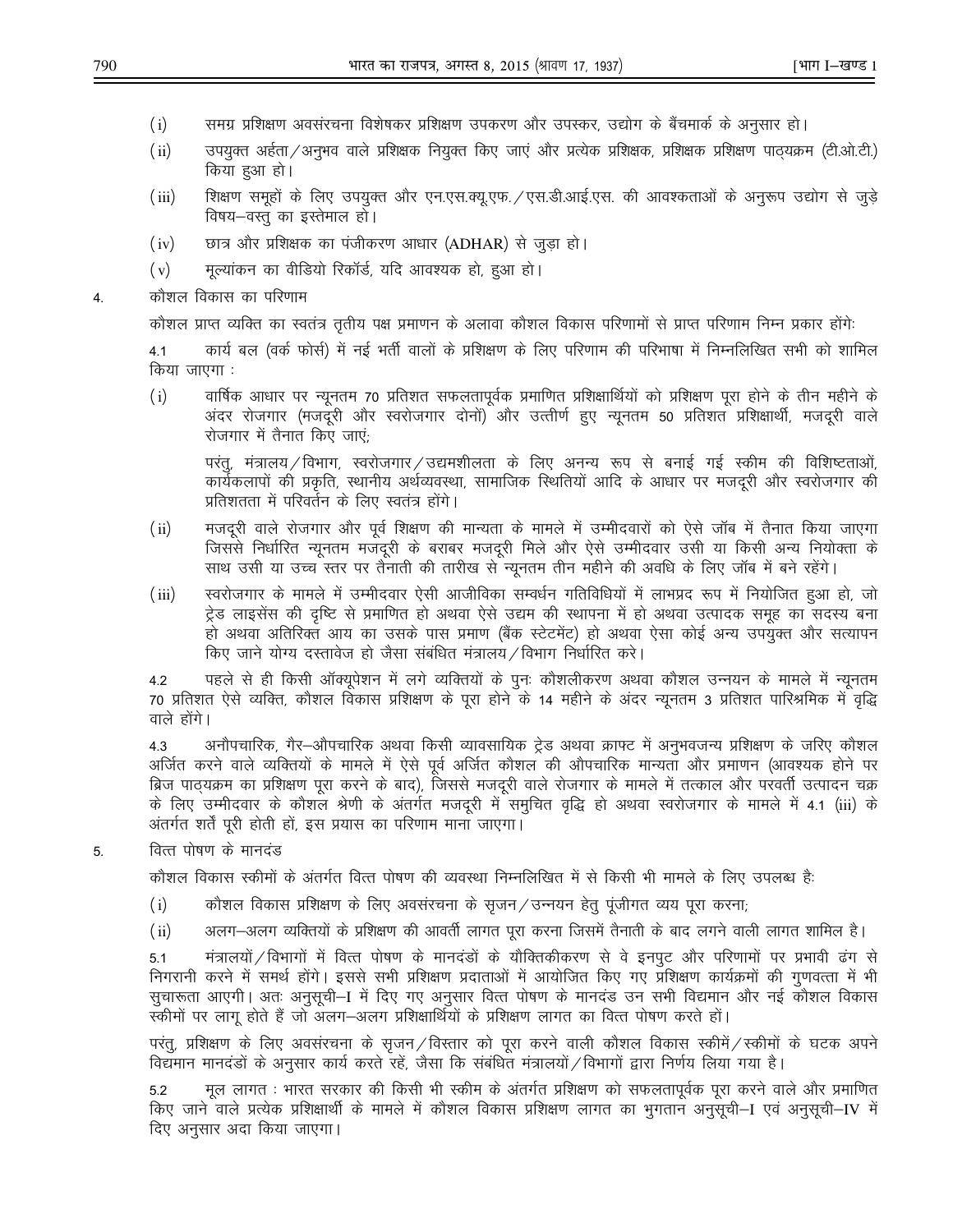- $(i)$ समग्र प्रशिक्षण अवसंरचना विशेषकर प्रशिक्षण उपकरण और उपस्कर, उद्योग के बैंचमार्क के अनुसार हो।
- $(ii)$ उपयुक्त अर्हता ⁄ अनुभव वाले प्रशिक्षक नियुक्त किए जाएं और प्रत्येक प्रशिक्षक, प्रशिक्षक प्रशिक्षण पाठ्यक्रम (टी.ओ.टी.) किया हुआ हो।
- $(iii)$ शिक्षण समूहों के लिए उपयुक्त और एन.एस.क्यू.एफ. / एस.डी.आई.एस. की आवश्कताओं के अनुरूप उद्योग से जुड़े विषय–वस्तु का इस्तेमाल हो।
- $(iv)$ छात्र और प्रशिक्षक का पंजीकरण आधार (ADHAR) से जुड़ा हो।
- मूल्यांकन का वीडियो रिकॉर्ड, यदि आवश्यक हो, हुआ हो।  $(v)$
- कौशल विकास का परिणाम 4.

कौशल प्राप्त व्यक्ति का स्वतंत्र तृतीय पक्ष प्रमाणन के अलावा कौशल विकास परिणामों से प्राप्त परिणाम निम्न प्रकार होंगे:

कार्य बल (वर्क फोर्स) में नई भर्ती वालों के प्रशिक्षण के लिए परिणाम की परिभाषा में निम्नलिखित सभी को शामिल  $4.1$ किया जाएगा :

 $(i)$ वार्षिक आधार पर न्यूनतम 70 प्रतिशत सफलतापूर्वक प्रमाणित प्रशिक्षार्थियों को प्रशिक्षण पूरा होने के तीन महीने के अंदर रोजगार (मजदूरी और स्वरोजगार दोनों) और उत्तीर्ण हुए न्यूनतम 50 प्रतिशत प्रशिक्षार्थी, मजदूरी वाले रोजगार में तैनात किए जाएं;

परंत्, मंत्रालय / विभाग, स्वरोजगार / उद्यमशीलता के लिए अनन्य रूप से बनाई गई स्कीम की विशिष्टताओं, कार्यकलापों की प्रकृति, स्थानीय अर्थव्यवस्था, सामाजिक स्थितियों आदि के आधार पर मजदुरी और स्वरोजगार की प्रतिशतता में परिवर्तन के लिए स्वतंत्र होंगे।

- $(ii)$ मजदूरी वाले रोजगार और पूर्व शिक्षण की मान्यता के मामले में उम्मीदवारों को ऐसे जॉब में तैनात किया जाएगा जिससे निर्धारित न्यूनतम मजदूरी के बराबर मजदूरी मिले और ऐसे उम्मीदवार उसी या किसी अन्य नियोक्ता के साथ उसी या उच्च स्तर पर तैनाती की तारीख से न्यूनतम तीन महीने की अवधि के लिए जॉब में बने रहेंगे।
- स्वरोजगार के मामले में उम्मीदवार ऐसी आजीविका सम्वर्धन गतिविधियों में लाभप्रद रूप में नियोजित हुआ हो, जो  $(iii)$ ट्रेड लाइसेंस की दृष्टि से प्रमाणित हो अथवा ऐसे उद्यम की स्थापना में हो अथवा उत्पादक समुह का सदस्य बना हो अथवा अतिरिक्त आय का उसके पास प्रमाण (बैंक स्टेटमेंट) हो अथवा ऐसा कोई अन्य उपयुक्त और सत्यापन किए जाने योग्य दस्तावेज हो जैसा संबंधित मंत्रालय / विभाग निर्धारित करे।

पहले से ही किसी ऑक्यूपेशन में लगे व्यक्तियों के पुनः कौशलीकरण अथवा कौशल उन्नयन के मामले में न्यूनतम 4.2 70 प्रतिशत ऐसे व्यक्ति, कौशल विकास प्रशिक्षण के पूरा होने के 14 महीने के अंदर न्यूनतम 3 प्रतिशत पारिश्रमिक में वृद्धि वाले होंगे।

अनौपचारिक, गैर—औपचारिक अथवा किसी व्यावसायिक ट्रेड अथवा क्राफ्ट में अनुभवजन्य प्रशिक्षण के जरिए कौशल 4.3 अर्जित करने वाले व्यक्तियों के मामले में ऐसे पूर्व अर्जित कौशल की औपचारिक मान्यता और प्रमाणन (आवश्यक होने पर ब्रिज पाठ्यक्रम का प्रशिक्षण पूरा करने के बाद), जिससे मजदूरी वाले रोजगार के मामले में तत्काल और परवर्ती उत्पादन चक्र के लिए उम्मीदवार के कौशल श्रेणी के अंतर्गत मजदूरी में समुचित वृद्धि हो अथवा स्वरोजगार के मामले में 4.1 (iii) के अंतर्गत शर्तें पुरी होती हों, इस प्रयास का परिणाम माना जाएगा।

वित्त पोषण के मानदंड 5.

कौशल विकास स्कीमों के अंतर्गत वित्त पोषण की व्यवस्था निम्नलिखित में से किसी भी मामले के लिए उपलब्ध है:

- कौशल विकास प्रशिक्षण के लिए अवसंरचना के सृजन/उन्नयन हेतु पूंजीगत व्यय पूरा करना;  $(i)$
- $(ii)$ अलग—अलग व्यक्तियों के प्रशिक्षण की आवर्ती लागत पूरा करना जिसमें तैनाती के बाद लगने वाली लागत शामिल है।

मंत्रालयों / विभागों में वित्त पोषण के मानदंडों के यौक्तिकीकरण से वे इनपुट और परिणामों पर प्रभावी ढंग से  $5.1$ निगरानी करने में समर्थ होंगे। इससे सभी प्रशिक्षण प्रदाताओं में आयोजित किए गए प्रशिक्षण कार्यक्रमों की गुणवत्ता में भी सुचारूता आएगी। अतः अनुसुची–I में दिए गए अनुसार वित्त पोषण के मानदंड उन सभी विद्यमान और नई कौशल विकास स्कीमों पर लागू होते हैं जो अलग—अलग प्रशिक्षार्थियों के प्रशिक्षण लागत का वित्त पोषण करते हों।

परंतु, प्रशिक्षण के लिए अवसंरचना के सृजन/विस्तार को पूरा करने वाली कौशल विकास स्कीमें/स्कीमों के घटक अपने विद्यमान मानदंडों के अनुसार कार्य करते रहें, जैसा कि संबंधित मंत्रालयों / विभागों द्वारा निर्णय लिया गया है।

मूल लागत : भारत सरकार की किसी भी स्कीम के अंतर्गत प्रशिक्षण को सफलतापूर्वक पूरा करने वाले और प्रमाणित 5.2 किए जाने वाले प्रत्येक प्रशिक्षार्थी के मामले में कौशल विकास प्रशिक्षण लागत का भुगतान अनुसूची—I एवं अनुसूची—IV में दिए अनुसार अदा किया जाएगा।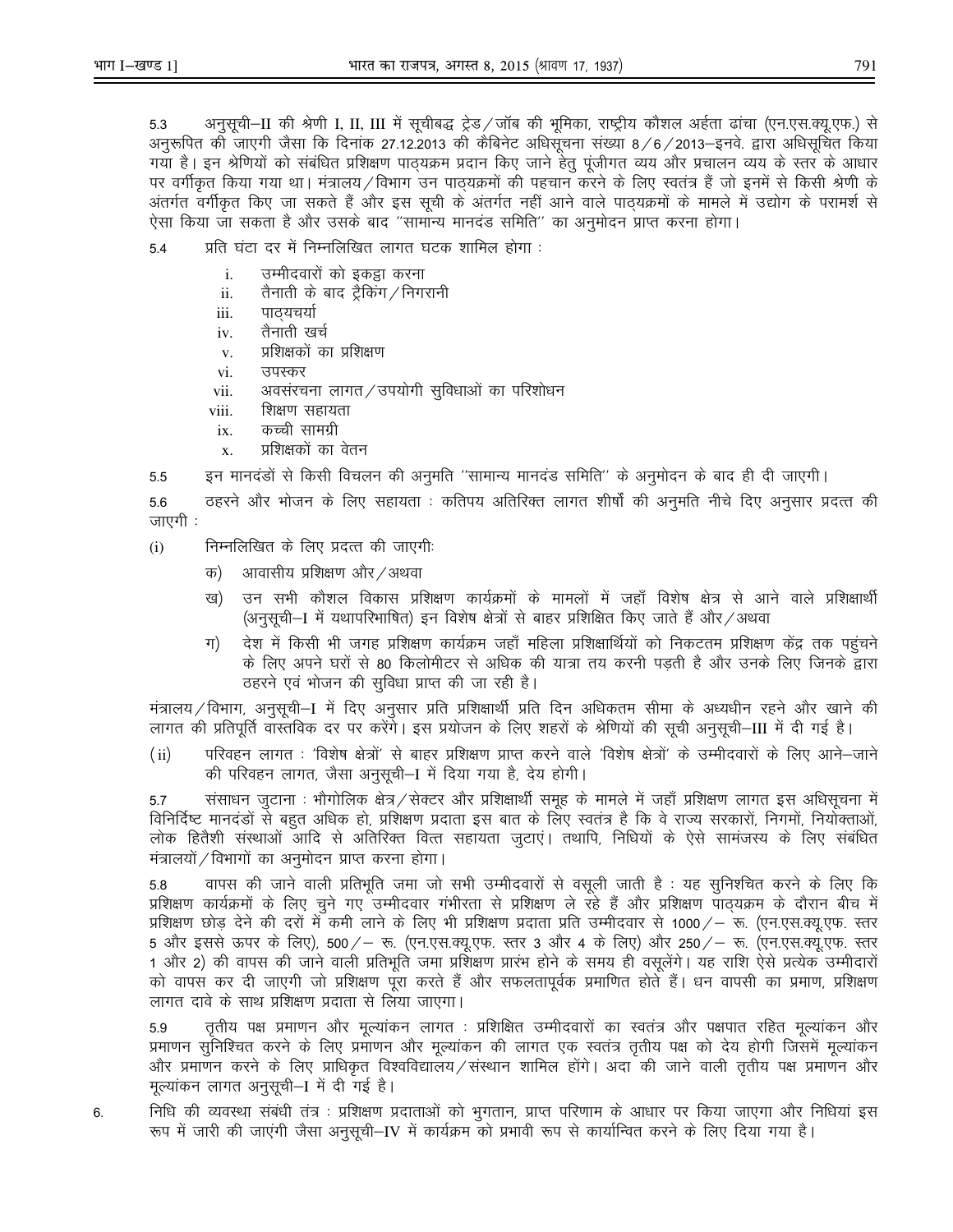अनुसूची–II की श्रेणी I, II, III में सूचीबद्ध ट्रेड/जॉब की भूमिका, राष्ट्रीय कौशल अर्हता ढांचा (एन.एस.क्यू.एफ.) से 5.3 अनरूपित को जाएगी जैसा कि दिनांक 27.12.2013 की कैबिनेट अधिसूचना संख्या 8/6/2013–इनवे. द्वारा अधिसूचित किया गया है। इन श्रेणियों को संबंधित प्रशिक्षण पाठ्यक्रम प्रदान किए जाने हेतु पूंजीगत व्यय और प्रचालन व्यय के स्तर के आधार पर वर्गीकृत किया गया था। मंत्रालय ⁄ विभाग उन पाठयक्रमों की पहचान करने के लिए स्वतंत्र हैं जो इनमें से किसी श्रेणी के अंतर्गत वर्गीकृत किए जा सकते हैं और इस सूची के अंतर्गत नहीं आने वाले पाठ्यक्रमों के मामले में उद्योग के परामर्श से ऐसा किया जा सकता है और उसके बाद "सामान्य मानदंड समिति" का अनुमोदन प्राप्त करना होगा।

- प्रति घंटा दर में निम्नलिखित लागत घटक शामिल होगा :  $5.4$ 
	- उम्मीदवारों को इकड़ा करना  $\mathbf{i}$ .
	- तैनाती के बाद ट्रैकिंग / निगरानी ii.
	- पाठ्यचर्या iii.
	- तैनाती खर्च iv.
	- प्रशिक्षकों का प्रशिक्षण  $V<sub>1</sub>$
	- उपस्कर vi.
	- अवसंरचना लागत/उपयोगी सुविधाओं का परिशोधन vii.
	- शिक्षण सहायता viii.
	- कच्ची सामग्री ix.
	- प्रशिक्षकों का वेतन  $\bar{x}$ .
- इन मानदंडों से किसी विचलन की अनुमति ''सामान्य मानदंड समिति'' के अनुमोदन के बाद ही दी जाएगी। 5.5

ठहरने और भोजन के लिए सहायता : कतिपय अतिरिक्त लागत शीर्षों की अनुमति नीचे दिए अनुसार प्रदत्त की 5.6 जाएगी ∶

- निम्नलिखित के लिए प्रदत्त की जाएगी:  $(i)$ 
	- आवासीय प्रशिक्षण और / अथवा क)
	- उन सभी कौशल विकास प्रशिक्षण कार्यक्रमों के मामलों में जहाँ विशेष क्षेत्र से आने वाले प्रशिक्षार्थी ख) (अनुसूची–I में यथापरिभाषित) इन विशेष क्षेत्रों से बाहर प्रशिक्षित किए जाते हैं और ⁄ अथवा
	- देश में किसी भी जगह प्रशिक्षण कार्यक्रम जहाँ महिला प्रशिक्षार्थियों को निकटतम प्रशिक्षण केंद्र तक पहुंचने ग) के लिए अपने घरों से 80 किलोमीटर से अधिक की यात्रा तय करनी पडती है और उनके लिए जिनके द्वारा ठहरने एवं भोजन की सुविधा प्राप्त की जा रही है।

मंत्रालय / विभाग, अनुसूची—I में दिए अनुसार प्रति प्रशिक्षार्थी प्रति दिन अधिकतम सीमा के अध्यधीन रहने और खाने की लागत की प्रतिपूर्ति वास्तविक दर पर करेंगे। इस प्रयोजन के लिए शहरों के श्रेणियों की सूची अनुसूची—III में दी गई है।

परिवहन लागत : 'विशेष क्षेत्रों' से बाहर प्रशिक्षण प्राप्त करने वाले 'विशेष क्षेत्रों' के उम्मीदवारों के लिए आने—जाने  $(ii)$ की परिवहन लागत, जैसा अनुसूची-I में दिया गया है, देय होगी।

संसाधन जुटाना : भौगोलिक क्षेत्र / सेक्टर और प्रशिक्षार्थी समूह के मामले में जहाँ प्रशिक्षण लागत इस अधिसूचना मे 5.7 विनिर्दिष्ट मानदंडों से बहुत अधिक हो, प्रशिक्षण प्रदाता इस बात के लिए स्वतंत्र है कि वे राज्य सरकारों, निगमों, नियोक्ताओं, लोक हितैशी संस्थाओं आदि से अतिरिक्त वित्त सहायता जुटाएं। तथापि, निधियों के ऐसे सामंजस्य के लिए संबंधित मंत्रालयों / विभागों का अनुमोदन प्राप्त करना होगा।

वापस की जाने वाली प्रतिभूति जमा जो सभी उम्मीदवारों से वसूली जाती है : यह सुनिश्चित करने के लिए कि 5.8 प्रशिक्षण कार्यक्रमों के लिए चुने गए उम्मीदवार गंभीरता से प्रशिक्षण ले रहे हैं और प्रशिक्षण पाठ्यक्रम के दौरान बीच में प्रशिक्षण छोड देने की दरों में कमी लाने के लिए भी प्रशिक्षण प्रदाता प्रति उम्मीदवार से 1000/– रू. (एन.एस.क्यू.एफ. स्तर 5 और इससे ऊपर के लिए), 500/– रू. (एन.एस.क्यू.एफ. स्तर 3 और 4 के लिए) और 250/– रू. (एन.एस.क्यू.एफ. स्तर 1 और 2) की वापस की जाने वाली प्रतिभूति जमा प्रशिक्षण प्रारंभ होने के समय ही वसूलेंगे। यह राशि ऐसे प्रत्येक उम्मीदारों को वापस कर दी जाएगी जो प्रशिक्षण पूरा करते हैं और सफलतापूर्वक प्रमाणित होते हैं। धन वापसी का प्रमाण, प्रशिक्षण लागत दावे के साथ प्रशिक्षण प्रदाता से लिया जाएगा।

तृतीय पक्ष प्रमाणन और मूल्यांकन लागत : प्रशिक्षित उम्मीदवारों का स्वतंत्र और पक्षपात रहित मूल्यांकन और 5.9 प्रमाणन सुनिश्चित करने के लिए प्रमाणन और मुल्यांकन की लागत एक स्वतंत्र तृतीय पक्ष को देय होगी जिसमें मुल्यांकन और प्रमाणन करने के लिए प्राधिकृत विश्वविद्यालय ⁄ संस्थान शामिल होंगे। अदा की जाने वाली तृतीय पक्ष प्रमाणन और मूल्यांकन लागत अनुसूची–I में दी गई है।

निधि की व्यवस्था संबंधी तंत्र : प्रशिक्षण प्रदाताओं को भुगतान, प्राप्त परिणाम के आधार पर किया जाएगा और निधियां इस 6. रूप में जारी की जाएंगी जैसा अनुसूची—IV में कार्यक्रम को प्रभावी रूप से कार्यान्वित करने के लिए दिया गया है।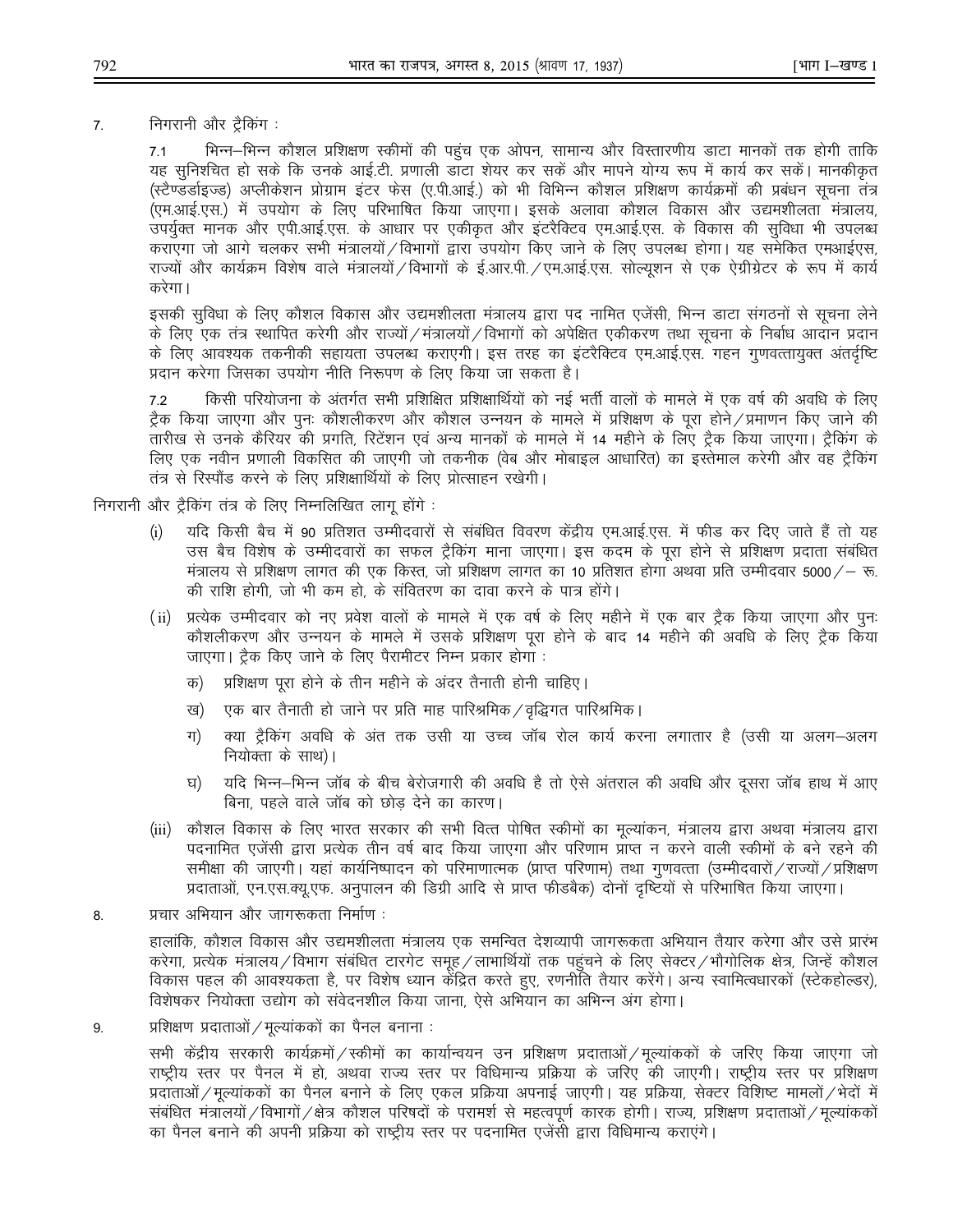निगरानी और ट्रैकिंग:  $\overline{7}$ .

> भिन्न–भिन्न कौशल प्रशिक्षण स्कीमों की पहुंच एक ओपन, सामान्य और विस्तारणीय डाटा मानकों तक होगी ताकि  $7.1$ यह सुनिश्चित हो सके कि उनके आई.टी. प्रणाली डाटा शेयर कर सकें और मापने योग्य रूप में कार्य कर सकें। मानकीकृत (स्टैण्डर्डाइज्ड) अप्लीकेशन प्रोग्राम इंटर फेस (ए.पी.आई.) को भी विभिन्न कौशल प्रशिक्षण कार्यक्रमों की प्रबंधन सूचना तंत्र (एम.आई.एस.) में उपयोग के लिए परिभाषित किया जाएगा। इसके अलावा कौशल विकास और उद्यमशीलता मंत्रालय, उपर्यूक्त मानक और एपी.आई.एस. के आधार पर एकीकृत और इंटरैक्टिव एम.आई.एस. के विकास की सुविधा भी उपलब्ध कराएगा जो आगे चलकर सभी मंत्रालयों/विभागों द्वारा उपयोग किए जाने के लिए उपलब्ध होगा। यह समेकित एमआईएस, राज्यों और कार्यक्रम विशेष वाले मंत्रालयों ⁄ विभागों के ई.आर.पी. ⁄ एम.आई.एस. सोल्यूशन से एक ऐग्रीग्रेटर के रूप में कार्य करेगा।

> इसकी सुविधा के लिए कौशल विकास और उद्यमशीलता मंत्रालय द्वारा पद नामित एजेंसी, भिन्न डाटा संगठनों से सूचना लेने के लिए एक तंत्र स्थापित करेगी और राज्यों / मंत्रालयों / विभागों को अपेक्षित एकीकरण तथा सूचना के निर्बाध आदान प्रदान के लिए आवश्यक तकनीकी सहायता उपलब्ध कराएगी। इस तरह का इंटरैक्टिव एम.आई.एस. गहन गुणवत्तायुक्त अंतर्दृष्टि प्रदान करेगा जिसका उपयोग नीति निरूपण के लिए किया जा सकता है।

> किसी परियोजना के अंतर्गत सभी प्रशिक्षित प्रशिक्षार्थियों को नई भर्ती वालों के मामले में एक वर्ष की अवधि के लिए  $7.2$ ट्रैक किया जाएगा और पुनः कौशलीकरण और कौशल उन्नयन के मामले में प्रशिक्षण के परा होने ⁄ प्रमाणन किए जाने की तारीख से उनके कैरियर की प्रगति. रिटेंशन एवं अन्य मानकों के मामले में 14 महीने के लिए टैक किया जाएगा। टैकिंग के लिए एक नवीन प्रणाली विकसित की जाएगी जो तकनीक (वेब और मोबाइल आधारित) का इस्तेमाल करेगी और वह ट्रैकिंग तंत्र से रिस्पौंड करने के लिए प्रशिक्षार्थियों के लिए प्रोत्साहन रखेगी।

निगरानी और ट्रैकिंग तंत्र के लिए निम्नलिखित लागू होंगे:

- यदि किसी बैच में 90 प्रतिशत उम्मीदवारों से संबंधित विवरण केंद्रीय एम.आई.एस. में फीड कर दिए जाते हैं तो यह  $(i)$ उस बैच विशेष के उम्मीदवारों का सफल ट्रैकिंग माना जाएगा। इस कदम के पूरा होने से प्रशिक्षण प्रदाता संबंधित मंत्रालय से प्रशिक्षण लागत की एक किस्त, जो प्रशिक्षण लागत का 10 प्रतिशत होगा अथवा प्रति उम्मीदवार 5000/– रू. की राशि होगी. जो भी कम हो, के संवितरण का दावा करने के पात्र होंगे।
- (ii) प्रत्येक उम्मीदवार को नए प्रवेश वालों के मामले में एक वर्ष के लिए महीने में एक बार ट्रैक किया जाएगा और पूनः कौशलीकरण और उन्नयन के मामले में उसके प्रशिक्षण पूरा होने के बाद 14 महीने की अवधि के लिए ट्रैक किया जाएगा। ट्रैक किए जाने के लिए पैरामीटर निम्न प्रकार होगा :
	- प्रशिक्षण पूरा होने के तीन महीने के अंदर तैनाती होनी चाहिए। क)
	- एक बार तैनाती हो जाने पर प्रति माह पारिश्रमिक / वृद्धिगत पारिश्रमिक। ख)
	- क्या ट्रैकिंग अवधि के अंत तक उसी या उच्च जॉब रोल कार्य करना लगातार है (उसी या अलग-अलग ग) नियोक्ता के साथ)।
	- यदि भिन्न–भिन्न जॉब के बीच बेरोजगारी की अवधि है तो ऐसे अंतराल की अवधि और दुसरा जॉब हाथ में आए घ) बिना, पहले वाले जॉब को छोड देने का कारण।
- (iii) कौशल विकास के लिए भारत सरकार की सभी वित्त पोषित स्कीमों का मूल्यांकन, मंत्रालय द्वारा अथवा मंत्रालय द्वारा पदनामित एजेंसी द्वारा प्रत्येक तीन वर्ष बाद किया जाएगा और परिणाम प्राप्त न करने वाली स्कीमों के बने रहने की समीक्षा की जाएगी। यहां कार्यनिष्पादन को परिमाणात्मक (प्राप्त परिणाम) तथा गणवत्ता (उम्मीदवारों / राज्यों / प्रशिक्षण प्रदाताओं, एन.एस.क्यू.एफ. अनुपालन की डिग्री आदि से प्राप्त फीडबैक) दोनों दृष्टियों से परिभाषित किया जाएगा।
- प्रचार अभियान और जागरूकता निर्माण: 8.

हालांकि, कौशल विकास और उद्यमशीलता मंत्रालय एक समन्वित देशव्यापी जागरूकता अभियान तैयार करेगा और उसे प्रारंभ करेगा, प्रत्येक मंत्रालय / विभाग संबंधित टारगेट समूह / लाभार्थियों तक पहुंचने के लिए सेक्टर / भौगोलिक क्षेत्र, जिन्हें कौशल विकास पहल की आवश्यकता है, पर विशेष ध्यान केंद्रित करते हुए, रणनीति तैयार करेंगे। अन्य स्वामित्वधारकों (स्टेकहोल्डर), विशेषकर नियोक्ता उद्योग को संवेदनशील किया जाना, ऐसे अभियान का अभिन्न अंग होगा।

प्रशिक्षण प्रदाताओं / मूल्यांककों का पैनल बनाना : 9.

> सभी केंद्रीय सरकारी कार्यक्रमों ⁄ स्कीमों का कार्यान्वयन उन प्रशिक्षण प्रदाताओं ⁄ मुल्यांककों के जरिए किया जाएगा जो राष्ट्रीय स्तर पर पैनल में हो, अथवा राज्य स्तर पर विधिमान्य प्रक्रिया के जरिए की जाएगी। राष्ट्रीय स्तर पर प्रशिक्षण प्रदाताओं / मूल्यांककों का पैनल बनाने के लिए एकल प्रक्रिया अपनाई जाएगी। यह प्रक्रिया, सेक्टर विशिष्ट मामलों / भेदों में संबंधित मंत्रालयों / विभागों / क्षेत्र कौशल परिषदों के परामर्श से महत्वपूर्ण कारक होगी। राज्य, प्रशिक्षण प्रदाताओं / मूल्यांककों का पैनल बनाने की अपनी प्रक्रिया को राष्ट्रीय स्तर पर पदनामित एजेंसी द्वारा विधिमान्य कराएंगे।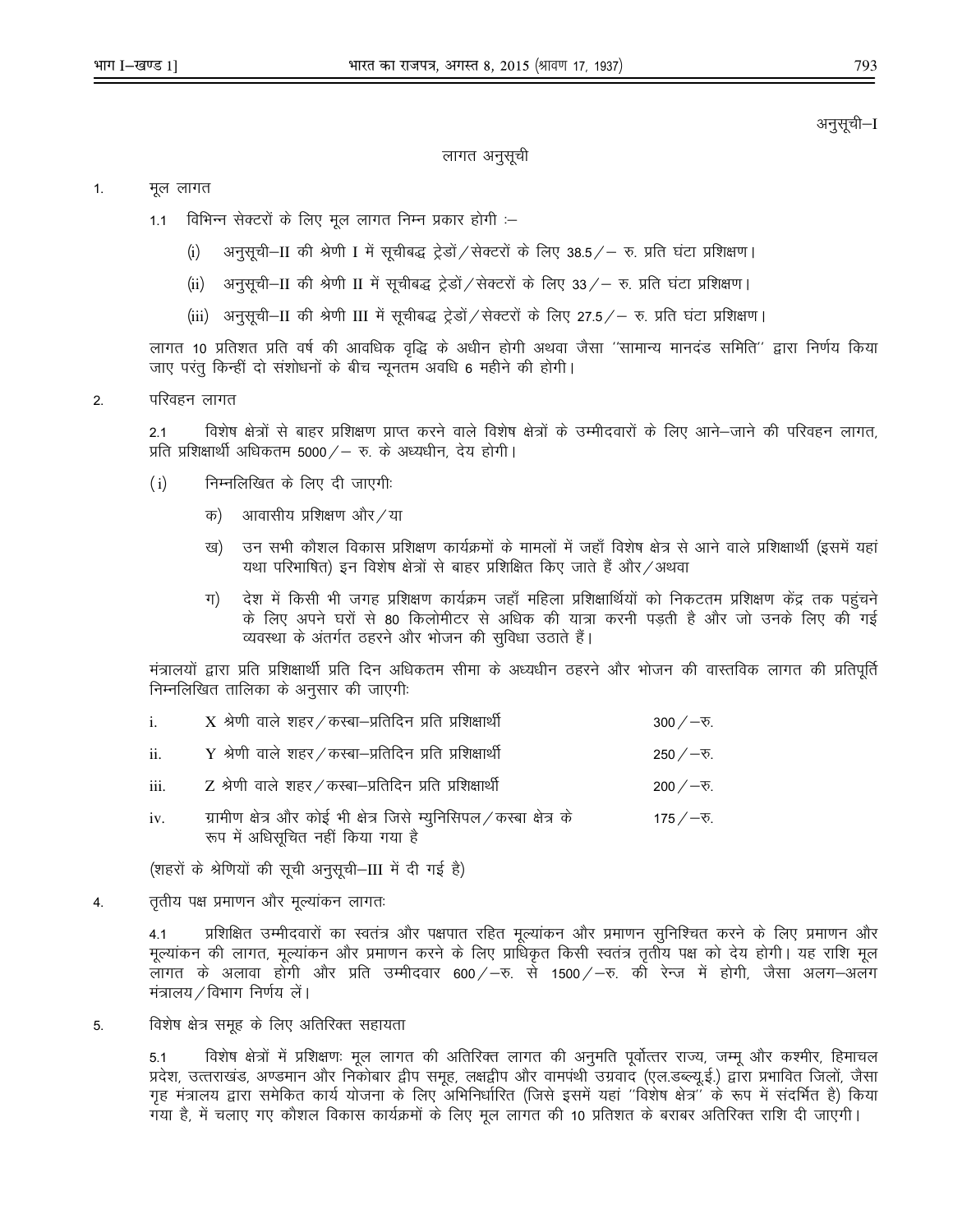#### अनुसूची–I

#### लागत अनुसूची

#### $1.$ मूल लागत

- विभिन्न सेक्टरों के लिए मूल लागत निम्न प्रकार होगी :–  $1.1$ 
	- अनुसूची–II की श्रेणी I में सूचीबद्ध ट्रेडों ⁄ सेक्टरों के लिए 38.5 ⁄ रु. प्रति घंटा प्रशिक्षण।  $(i)$
	- अनुसुची-II की श्रेणी II में सुचीबद्ध ट्रेडों / सेक्टरों के लिए 33 / रु. प्रति घंटा प्रशिक्षण।  $(ii)$
	- (iii) अनुसूची-II की श्रेणी III में सूचीबद्ध ट्रेडों / सेक्टरों के लिए 27.5 / रु. प्रति घंटा प्रशिक्षण।

लागत 10 प्रतिशत प्रति वर्ष की आवधिक वृद्धि के अधीन होगी अथवा जैसा ''सामान्य मानदंड समिति'' द्वारा निर्णय किया जाए परंतु किन्हीं दो संशोधनों के बीच न्यूनतम अवधि 6 महीने की होगी।

परिवहन लागत  $2.$ 

> विशेष क्षेत्रों से बाहर प्रशिक्षण प्राप्त करने वाले विशेष क्षेत्रों के उम्मीदवारों के लिए आने—जाने की परिवहन लागत,  $2.1$ प्रति प्रशिक्षार्थी अधिकतम 5000 / - रु. के अध्यधीन, देय होगी।

- निम्नलिखित के लिए दी जाएगी:  $(i)$ 
	- आवासीय प्रशिक्षण और / या क)
	- उन सभी कौशल विकास प्रशिक्षण कार्यक्रमों के मामलों में जहाँ विशेष क्षेत्र से आने वाले प्रशिक्षार्थी (इसमें यहां ख) यथा परिभाषित) इन विशेष क्षेत्रों से बाहर प्रशिक्षित किए जाते हैं और/अथवा
	- देश में किसी भी जगह प्रशिक्षण कार्यक्रम जहाँ महिला प्रशिक्षार्थियों को निकटतम प्रशिक्षण केंद्र तक पहुंचने ग $\big)$ के लिए अपने घरों से 80 किलोमीटर से अधिक की यात्रा करनी पडती है और जो उनके लिए की गई व्यवस्था के अंतर्गत ठहरने और भोजन की सुविधा उठाते हैं।

मंत्रालयों द्वारा प्रति प्रशिक्षार्थी प्रति दिन अधिकतम सीमा के अध्यधीन ठहरने और भोजन की वास्तविक लागत की प्रतिपूर्ति निम्नलिखित तालिका के अनुसार की जाएगी:

| $\mathbf{i}$ .  | $X$ श्रेणी वाले शहर / कस्बा–प्रतिदिन प्रति प्रशिक्षार्थी                                                  | 300 $\sqrt{-5}$ .          |
|-----------------|-----------------------------------------------------------------------------------------------------------|----------------------------|
| $\mathbf{ii}$ . | $Y$ श्रेणी वाले शहर / कस्बा–प्रतिदिन प्रति प्रशिक्षार्थी                                                  | 250 $/$ – $\overline{v}$ . |
| iii.            | Z श्रेणी वाले शहर / कस्बा-प्रतिदिन प्रति प्रशिक्षार्थी                                                    | 200 $\sqrt{-5}$ .          |
| iv.             | ग्रामीण क्षेत्र और कोई भी क्षेत्र जिसे म्युनिसिपल / कस्बा क्षेत्र के<br>रूप में अधिसूचित नहीं किया गया है | 175 $/$ – $\overline{v}$ . |

(शहरों के श्रेणियों की सूची अनुसूची-III में दी गई है)

तृतीय पक्ष प्रमाणन और मूल्यांकन लागतः 4.

> प्रशिक्षित उम्मीदवारों का स्वतंत्र और पक्षपात रहित मूल्यांकन और प्रमाणन सुनिश्चित करने के लिए प्रमाणन और  $4.1$ मूल्यांकन की लागत, मूल्यांकन और प्रमाणन करने के लिए प्राधिकृत किसी स्वतंत्र तृतीय पक्ष को देय होगी। यह राशि मूल लागत के अलावा होगी और प्रति उम्मीदवार 600/–रु. से 1500/–रु. की रेन्ज में होगी, जैसा अलग–अलग मंत्रालय / विभाग निर्णय ले।

विशेष क्षेत्र समूह के लिए अतिरिक्त सहायता 5.

> विशेष क्षेत्रों में प्रशिक्षणः मूल लागत की अतिरिक्त लागत की अनुमति पूर्वोत्तर राज्य, जम्मू और कश्मीर, हिमाचल  $5.1$ प्रदेश, उत्तराखंड, अण्डमान और निकोबार द्वीप समूह, लक्षद्वीप और वामपंथी उग्रवाद (एल.डब्ल्यू.ई.) द्वारा प्रभावित जिलों, जैसा गृह मंत्रालय द्वारा समेकित कार्य योजना के लिए अभिनिर्धारित (जिसे इसमें यहां "विशेष क्षेत्र" के रूप में संदर्भित है) किया गया है, में चलाए गए कौशल विकास कार्यक्रमों के लिए मूल लागत की 10 प्रतिशत के बराबर अतिरिक्त राशि दी जाएगी।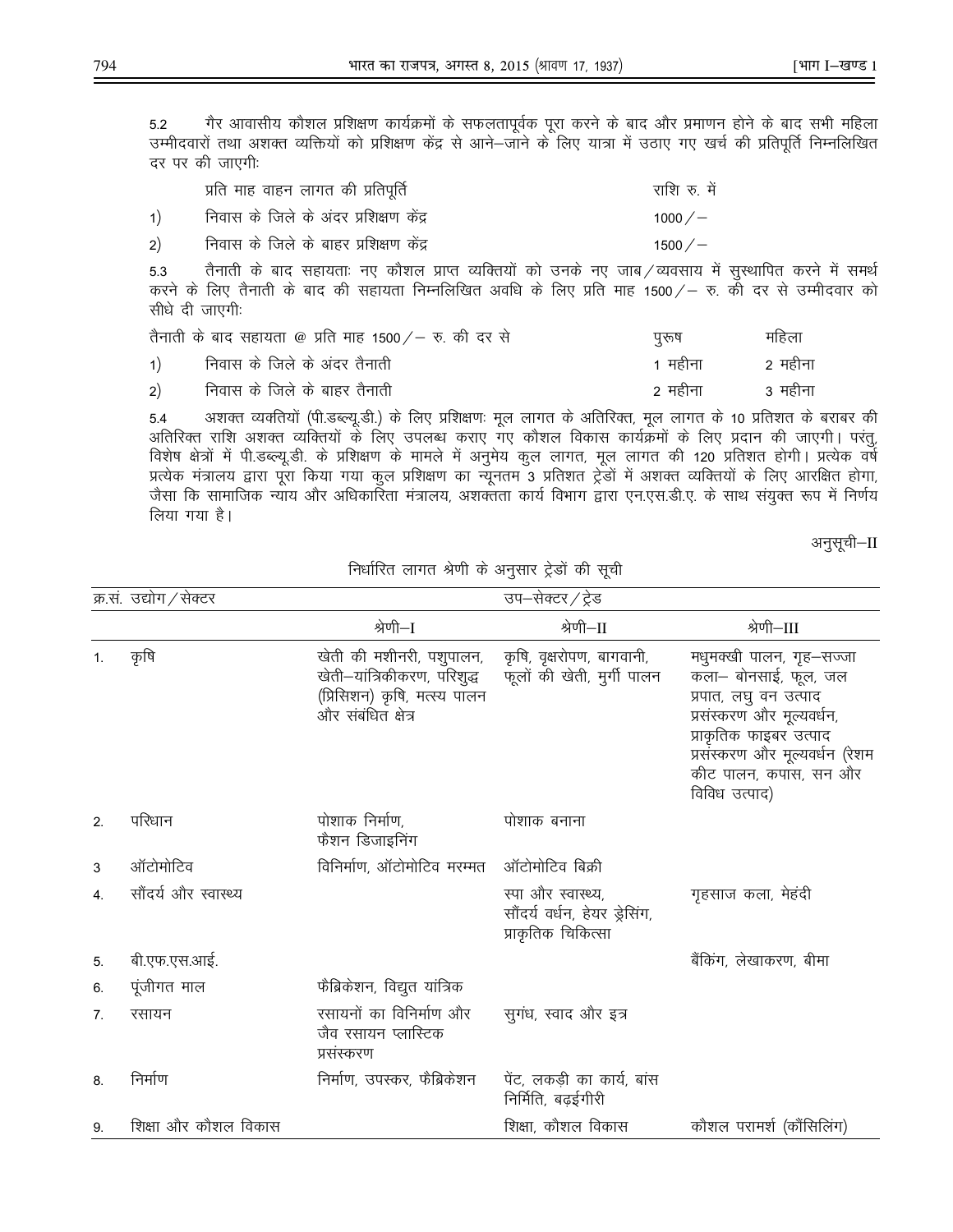गैर आवासीय कौशल प्रशिक्षण कार्यक्रमों के सफलतापूर्वक पूरा करने के बाद और प्रमाणन होने के बाद सभी महिला  $5.2$ उम्मीदवारों तथा अशक्त व्यक्तियों को प्रशिक्षण केंद्र से आने–जाने के लिए यात्रा में उठाए गए खर्च की प्रतिपूर्ति निम्नलिखित दर पर की जाएगी:

|    | प्रति माह वाहन लागत की प्रतिपूर्ति     | राशि रु. में |
|----|----------------------------------------|--------------|
| 1) | निवास के जिले के अंदर प्रशिक्षण केंद्र | 1000 $/$ $-$ |
| 2) | निवास के जिले के बाहर प्रशिक्षण केंद्र | 1500 $/$ $-$ |

तैनाती के बाद सहायताः नए कौशल प्राप्त व्यक्तियों को उनके नए जाब / व्यवसाय में सुस्थापित करने में समर्थ 5.3 करने के लिए तैनाती के बाद की सहायता निम्नलिखित अवधि के लिए प्रति माह 1500/– रु. की दर से उम्मीदवार को सीधे दी जाएगी:

|                                                 | तैनाती के बाद सहायता @ प्रति माह 1500 / – रु. की दर से | पुरुष   | महिला   |
|-------------------------------------------------|--------------------------------------------------------|---------|---------|
| $\left( \begin{array}{c} 1 \end{array} \right)$ | निवास के जिले के अंदर तैनाती                           | 1 महीना | २ महीना |
|                                                 | 2) निवास के जिले के बाहर तैनाती                        | २ महीना | 3 महीना |

अशक्त व्यक्तियों (पी.डब्ल्यू.डी.) के लिए प्रशिक्षणः मूल लागत के अतिरिक्त, मूल लागत के 10 प्रतिशत के बराबर की 5.4 अतिरिक्त राशि अशक्त व्यक्तियों के लिए उपलब्ध कराए गए कौशल विकास कार्यक्रमों के लिए प्रदान की जाएगी। परंतू, विशेष क्षेत्रों में पी.डब्ल्यू.डी. के प्रशिक्षण के मामले में अनुमेय कुल लागत, मूल लागत की 120 प्रतिशत होगी। प्रत्येक वर्ष प्रत्येक मंत्रालय द्वारा पूरा किया गया कुल प्रशिक्षण का न्यूनतम 3 प्रतिशत ट्रेडों में अशक्त व्यक्तियों के लिए आरक्षित होगा, जैसा कि सामाजिक न्याय और अधिकारिता मंत्रालय, अशक्तता कार्य विभाग द्वारा एन.एस.डी.ए. के साथ संयुक्त रूप में निर्णय लिया गया है।

अनुसूची–II

|                | क्र.सं. उद्योग / सेक्टर |                                                                                                               | उप–सेक्टर / ट्रेड                                                         |                                                                                                                                                                                                              |
|----------------|-------------------------|---------------------------------------------------------------------------------------------------------------|---------------------------------------------------------------------------|--------------------------------------------------------------------------------------------------------------------------------------------------------------------------------------------------------------|
|                |                         | श्रेणी—I                                                                                                      | श्रेणी–II                                                                 | श्रेणी–III                                                                                                                                                                                                   |
| $\mathbf{1}$ . | कृषि                    | खेती की मशीनरी, पशुपालन,<br>खेती–यांत्रिकीकरण, परिशुद्ध<br>(प्रिसिशन) कृषि, मत्स्य पालन<br>और संबंधित क्षेत्र | कृषि, वृक्षरोपण, बागवानी,<br>फूलों की खेती, मुर्गी पालन                   | मधुमक्खी पालन, गृह-सज्जा<br>कला– बोनसाई, फूल, जल<br>प्रपात, लघु वन उत्पाद<br>प्रसंस्करण और मूल्यवर्धन,<br>प्राकृतिक फाइबर उत्पाद<br>प्रसंस्करण और मूल्यवर्धन (रेशम<br>कीट पालन, कपास, सन और<br>विविध उत्पाद) |
| 2.             | परिधान                  | पोशाक निर्माण,<br>फैशन डिजाइनिंग                                                                              | पोशाक बनाना                                                               |                                                                                                                                                                                                              |
| 3              | ऑटोमोटिव                | विनिर्माण, ऑटोमोटिव मरम्मत ऑटोमोटिव बिक्री                                                                    |                                                                           |                                                                                                                                                                                                              |
| 4.             | सौंदर्य और स्वास्थ्य    |                                                                                                               | स्पा और स्वास्थ्य,<br>सौंदर्य वर्धन, हेयर ड्रेसिंग,<br>प्राकृतिक चिकित्सा | गृहसाज कला, मेहंदी                                                                                                                                                                                           |
| 5.             | बी.एफ.एस.आई.            |                                                                                                               |                                                                           | बैंकिंग, लेखाकरण, बीमा                                                                                                                                                                                       |
| 6.             | पूंजीगत माल             | फैब्रिकेशन, विद्युत यांत्रिक                                                                                  |                                                                           |                                                                                                                                                                                                              |
| 7 <sub>1</sub> | रसायन                   | रसायनों का विनिर्माण और<br>जैव रसायन प्लास्टिक<br>प्रसंस्करण                                                  | सुगंध, स्वाद और इत्र                                                      |                                                                                                                                                                                                              |
| 8.             | निर्माण                 | निर्माण, उपस्कर, फैब्रिकेशन                                                                                   | पेंट, लकडी का कार्य, बांस<br>निर्मिति, बढईगीरी                            |                                                                                                                                                                                                              |
| 9.             | शिक्षा और कौशल विकास    |                                                                                                               | शिक्षा, कौशल विकास                                                        | कौशल परामर्श (कौंसिलिंग)                                                                                                                                                                                     |

निर्धारित लागत श्रेणी के अनुसार ट्रेडों की सूची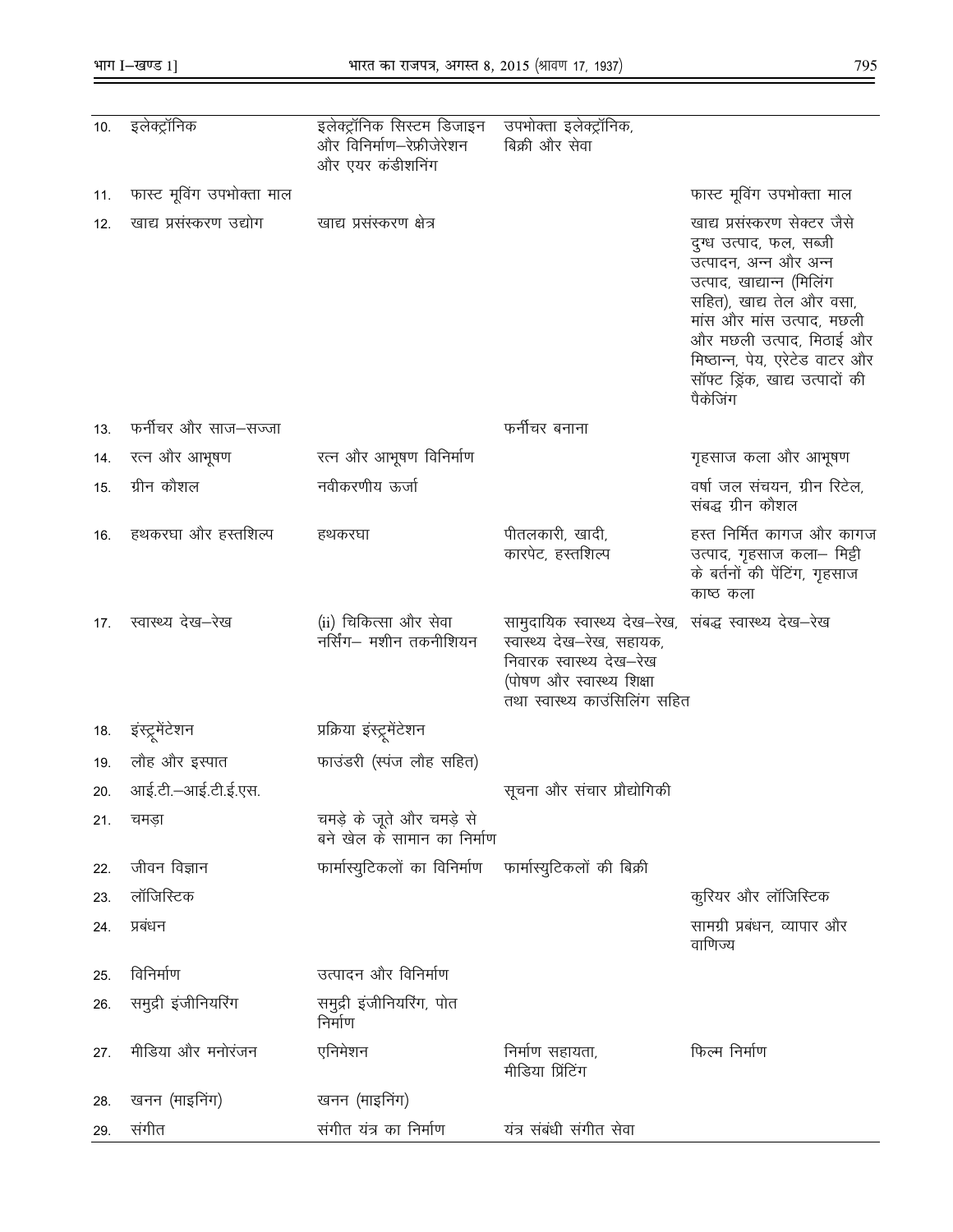$\overline{\phantom{0}}$ 

| 10. | इलेक्ट्रॉनिक              | इलेक्ट्रॉनिक सिस्टम डिजाइन<br>और विनिर्माण–रेफ्रीजेरेशन<br>और एयर कडीशनिग | उपभोक्ता इलेक्ट्रॉनिक,<br>बिक्री और सेवा                                                                                                                                      |                                                                                                                                                                                                                                                                                     |
|-----|---------------------------|---------------------------------------------------------------------------|-------------------------------------------------------------------------------------------------------------------------------------------------------------------------------|-------------------------------------------------------------------------------------------------------------------------------------------------------------------------------------------------------------------------------------------------------------------------------------|
| 11. | फास्ट मूविंग उपभोक्ता माल |                                                                           |                                                                                                                                                                               | फास्ट मूविंग उपभोक्ता माल                                                                                                                                                                                                                                                           |
| 12. | खाद्य प्रसंस्करण उद्योग   | खाद्य प्रसंस्करण क्षेत्र                                                  |                                                                                                                                                                               | खाद्य प्रसंस्करण सेक्टर जैसे<br>दुग्ध उत्पाद, फल, सब्जी<br>उत्पादन, अन्न और अन्न<br>उत्पाद, खाद्यान्न (मिलिंग<br>सहित), खाद्य तेल और वसा,<br>मांस और मांस उत्पाद, मछली<br>और मछली उत्पाद, मिठाई और<br>मिष्ठान्न, पेय, एरेटेड वाटर और<br>सॉफ्ट ड्रिंक, खाद्य उत्पादों की<br>पैकेजिंग |
| 13. | फर्नीचर और साज–सज्जा      |                                                                           | फर्नीचर बनाना                                                                                                                                                                 |                                                                                                                                                                                                                                                                                     |
| 14. | रत्न और आभूषण             | रत्न और आभूषण विनिर्माण                                                   |                                                                                                                                                                               | गृहसाज कला और आभूषण                                                                                                                                                                                                                                                                 |
| 15. | ग्रीन कौशल                | नवीकरणीय ऊर्जा                                                            |                                                                                                                                                                               | वर्षा जल संचयन, ग्रीन रिटेल,<br>संबद्ध ग्रीन कौशल                                                                                                                                                                                                                                   |
| 16. | हथकरघा और हस्तशिल्प       | हथकरघा                                                                    | पीतलकारी, खादी,<br>कारपेट, हस्तशिल्प                                                                                                                                          | हस्त निर्मित कागज और कागज<br>उत्पाद, गृहसाज कला– मिट्टी<br>के बर्तनों की पेंटिंग, गृहसाज<br>काष्ठ कला                                                                                                                                                                               |
| 17. | स्वास्थ्य देख–रेख         | (ii) चिकित्सा और सेवा<br>नर्सिंग— मशीन तकनीशियन                           | सामुदायिक स्वास्थ्य देख—रेख,  संबद्ध स्वास्थ्य देख—रेख<br>स्वास्थ्य देख–रेख, सहायक,<br>निवारक स्वास्थ्य देख—रेख<br>(पोषण और स्वास्थ्य शिक्षा<br>तथा स्वास्थ्य काउंसिलिंग सहित |                                                                                                                                                                                                                                                                                     |
| 18. | इस्ट्रूमेटेशन             | प्रक्रिया इस्ट्रूमेंटेशन                                                  |                                                                                                                                                                               |                                                                                                                                                                                                                                                                                     |
| 19. | लौह और इस्पात             | फाउंडरी (स्पंज लौह सहित)                                                  |                                                                                                                                                                               |                                                                                                                                                                                                                                                                                     |
| 20. | आई.टी.–आई.टी.ई.एस.        |                                                                           | सूचना और संचार प्रौद्योगिकी                                                                                                                                                   |                                                                                                                                                                                                                                                                                     |
| 21. | चमडा                      | चमड़े के जूते और चमड़े से<br>बने खेल के सामान का निर्माण                  |                                                                                                                                                                               |                                                                                                                                                                                                                                                                                     |
| 22. | जीवन विज्ञान              | फार्मास्युटिकलों का विनिर्माण फार्मास्युटिकलों की बिक्री                  |                                                                                                                                                                               |                                                                                                                                                                                                                                                                                     |
| 23. | लॉजिस्टिक                 |                                                                           |                                                                                                                                                                               | कुरियर और लॉजिस्टिक                                                                                                                                                                                                                                                                 |
| 24. | प्रबंधन                   |                                                                           |                                                                                                                                                                               | सामग्री प्रबंधन, व्यापार और<br>वाणिज्य                                                                                                                                                                                                                                              |
| 25. | विनिर्माण                 | उत्पादन और विनिर्माण                                                      |                                                                                                                                                                               |                                                                                                                                                                                                                                                                                     |
| 26. | समुद्री इंजीनियरिंग       | समुद्री इंजीनियरिंग, पोत<br>निर्माण                                       |                                                                                                                                                                               |                                                                                                                                                                                                                                                                                     |
| 27. | मीडिया और मनोरंजन         | एनिमेशन                                                                   | निर्माण सहायता,<br>मीडिया प्रिंटिंग                                                                                                                                           | फिल्म निर्माण                                                                                                                                                                                                                                                                       |
| 28. | खनन (माइनिंग)             | खनन (माइनिंग)                                                             |                                                                                                                                                                               |                                                                                                                                                                                                                                                                                     |
| 29. | संगीत                     | संगीत यंत्र का निर्माण                                                    | यत्र संबंधी संगीत सेवा                                                                                                                                                        |                                                                                                                                                                                                                                                                                     |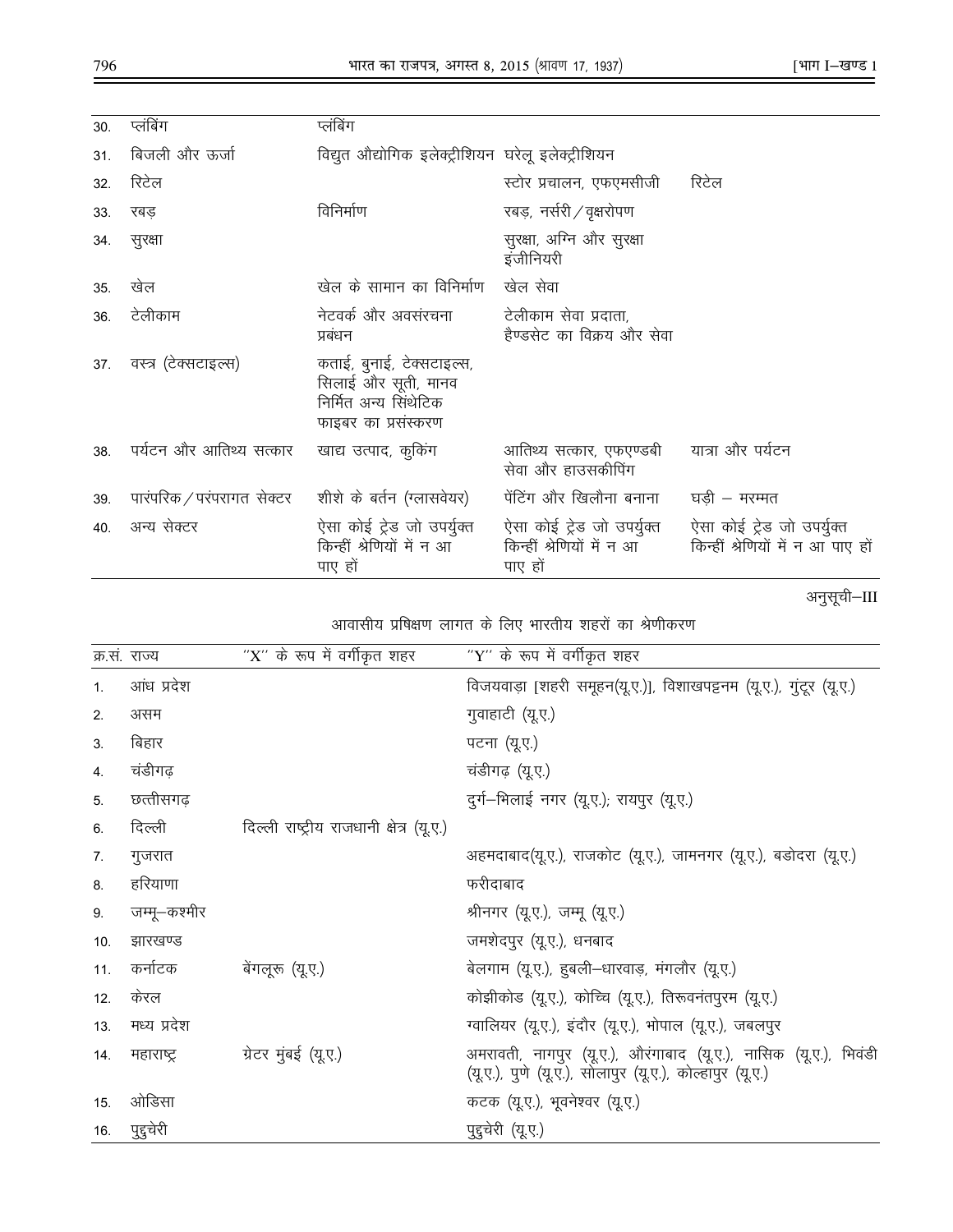| 30. | प्लंबिंग                                           | प्लंबिंग                                                                                         |                                                                   |                                                                 |
|-----|----------------------------------------------------|--------------------------------------------------------------------------------------------------|-------------------------------------------------------------------|-----------------------------------------------------------------|
| 31. | बिजली और ऊर्जा                                     | विद्युत औद्योगिक इलेक्ट्रीशियन घरेलू इलेक्ट्रीशियन                                               |                                                                   |                                                                 |
| 32. | रिटेल                                              |                                                                                                  | स्टोर प्रचालन, एफएमसीजी                                           | रिटेल                                                           |
| 33. | रबड                                                | विनिर्माण                                                                                        | रबड़, नर्सरी / वृक्षरोपण                                          |                                                                 |
| 34. | सुरक्षा                                            |                                                                                                  | सुरक्षा, अग्नि और सुरक्षा<br>इंजीनियरी                            |                                                                 |
| 35. | खेल                                                | खेल के सामान का विनिर्माण                                                                        | खेल सेवा                                                          |                                                                 |
| 36. | टेलीकाम                                            | नेटवर्क और अवसंरचना<br>प्रबंधन                                                                   | टेलीकाम सेवा प्रदाता,<br>हैण्डसेट का विक्रय और सेवा               |                                                                 |
| 37. | वस्त्र (टेक्सटाइल्स)                               | कताई, बुनाई, टेक्सटाइल्स,<br>सिलाई और सूती, मानव<br>निर्मित अन्य सिंथेटिक<br>फाइबर का प्रसंस्करण |                                                                   |                                                                 |
| 38  | पर्यटन और आतिथ्य सत्कार                            | खाद्य उत्पाद, कुकिंग                                                                             | आतिथ्य सत्कार, एफएण्डबी<br>सेवा और हाउसकीपिंग                     | यात्रा और पर्यटन                                                |
| 39. | पारपरिक / परपरागत सेक्टर शीशे के बर्तन (ग्लासवेयर) |                                                                                                  | पेंटिंग और खिलौना बनाना                                           | घडी – मरम्मत                                                    |
| 40. | अन्य सेक्टर                                        | ऐसा कोई ट्रेड जो उपर्युक्त<br>किन्हीं श्रेणियों में न आ<br>पाए हों                               | ऐसा कोई ट्रेड जो उपर्युक्त<br>किन्हीं श्रेणियों में न आ<br>पाए हो | ऐसा कोई ट्रेड जो उपर्युक्त<br>किन्हीं श्रेणियों में न आ पाए हों |

अनुसूची–III

# आवासीय प्रषिक्षण लागत के लिए भारतीय शहरों का श्रेणीकरण

|                | क्र.स. राज्य | "X" के रूप में वर्गीकृत शहर              | "Y" के रूप में वर्गीकृत शहर                                                                                                  |
|----------------|--------------|------------------------------------------|------------------------------------------------------------------------------------------------------------------------------|
| 1 <sub>1</sub> | आंध प्रदेश   |                                          | विजयवाड़ा [शहरी समूहन(यू.ए.)], विशाखपट्टनम (यू.ए.), गुटूर (यू.ए.)                                                            |
| 2.             | असम          |                                          | गुवाहाटी (यू.ए.)                                                                                                             |
| 3.             | बिहार        |                                          | पटना (यू.ए.)                                                                                                                 |
| 4.             | चंडीगढ़      |                                          | चडीगढ़ (यू.ए.)                                                                                                               |
| 5.             | छत्तीसगढ़    |                                          | दुर्ग-भिलाई नगर (यू.ए.); रायपुर (यू.ए.)                                                                                      |
| 6.             | दिल्ली       | दिल्ली राष्ट्रीय राजधानी क्षेत्र (यू.ए.) |                                                                                                                              |
| 7.             | गुजरात       |                                          | अहमदाबाद(यू.ए.), राजकोट (यू.ए.), जामनगर (यू.ए.), बडोदरा (यू.ए.)                                                              |
| 8.             | हरियाणा      |                                          | फरीदाबाद                                                                                                                     |
| 9.             | जम्मू—कश्मीर |                                          | श्रीनगर (यू.ए.), जम्मू (यू.ए.)                                                                                               |
| 10.            | झारखण्ड      |                                          | जमशेदपुर (यू.ए.), धनबाद                                                                                                      |
| 11.            | कर्नाटक      | बेंगलूरू (यू.ए.)                         | बेलगाम (यू.ए.), हुबली—धारवाड़, मंगलौर (यू.ए.)                                                                                |
| 12.            | केरल         |                                          | कोझीकोड (यू.ए.), कोच्चि (यू.ए.), तिरूवनंतपुरम (यू.ए.)                                                                        |
| 13.            | मध्य प्रदेश  |                                          | ग्वालियर (यू.ए.), इंदौर (यू.ए.), भोपाल (यू.ए.), जबलपुर                                                                       |
| 14.            | महाराष्ट्र   | ग्रेटर मुंबई (यू.ए.)                     | अमरावती, नागपुर (यू.ए.), औरंगाबाद (यू.ए.), नासिक (यू.ए.), भिवडी<br>(यू.ए.), पुणे (यू.ए.), सोलापुर (यू.ए.), कोल्हापुर (यू.ए.) |
| 15.            | ओडिसा        |                                          | कटक (यू.ए.), भूवनेश्वर (यू.ए.)                                                                                               |
| 16.            | पुद्दचेरी    |                                          | पुद्दुचेरी (यू.ए.)                                                                                                           |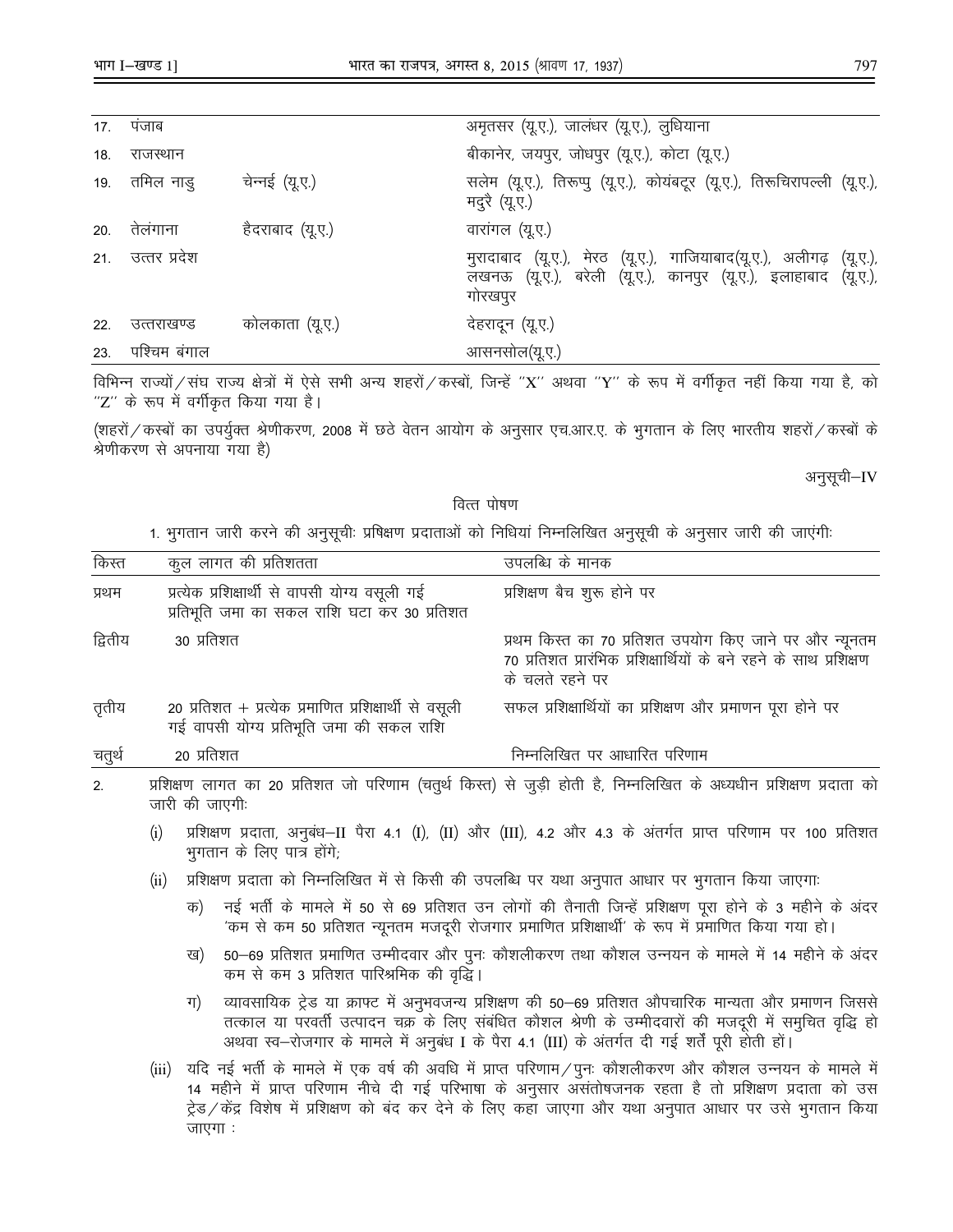|     | 17. पजाब         |                  | अमृतसर (यू.ए.), जालंधर (यू.ए.), लुधियाना                                                                                                        |
|-----|------------------|------------------|-------------------------------------------------------------------------------------------------------------------------------------------------|
| 18. | राजस्थान         |                  | बीकानेर, जयपुर, जोधपुर (यू.ए.), कोटा (यू.ए.)                                                                                                    |
|     | 19. तमिल नाडु    | चेन्नई (यू.ए.)   | सलेम (यू.ए.), तिरूप्पु (यू.ए.), कोयंबटूर (यू.ए.), तिरूचिरापल्ली (यू.ए.),<br>मदुरै (यू.ए.)                                                       |
|     | 20. तेलंगाना     | हैदराबाद (यू.ए.) | वारांगल (यू.ए.)                                                                                                                                 |
|     | 21. उत्तर प्रदेश |                  | मुरादाबाद (यू.ए.), मेरठ (यू.ए.), गाजियाबाद(यू.ए.), अलीगढ़ (यू.ए.),<br>लखनऊ (यू.ए.), बरेली (यू.ए.), कानपुर (यू.ए.), इलाहाबाद (यू.ए.),<br>गोरखपुर |
| 22. | उत्तराखण्ड       | कोलकाता (यू.ए.)  | देहरादून (यू.ए.)                                                                                                                                |
| 23. | पश्चिम बंगाल     |                  | आसनसोल(यू.ए.)                                                                                                                                   |
|     |                  |                  |                                                                                                                                                 |

विभिन्न राज्यों / संघ राज्य क्षेत्रों में ऐसे सभी अन्य शहरों / कस्बों, जिन्हें "X" अथवा "Y" के रूप में वर्गीकृत नहीं किया गया है, को "Z" के रूप में वर्गीकृत किया गया है।

(शहरों / कस्बों का उपर्युक्त श्रेणीकरण, 2008 में छठे वेतन आयोग के अनुसार एच.आर.ए. के भुगतान के लिए भारतीय शहरों / कस्बों के श्रेणीकरण से अपनाया गया है)

अनुसूची–IV

#### वित्त पोषण

1. भुगतान जारी करने की अनुसूची: प्रषिक्षण प्रदाताओं को निधियां निम्नलिखित अनुसूची के अनुसार जारी की जाएंगी:

| किस्त                                                                                                   |                                                                                                                                      |            | कुल लागत की प्रतिशतता                                                                                                                       | उपलब्धि के मानक                                                                                                                                                                                                                                                                                                    |
|---------------------------------------------------------------------------------------------------------|--------------------------------------------------------------------------------------------------------------------------------------|------------|---------------------------------------------------------------------------------------------------------------------------------------------|--------------------------------------------------------------------------------------------------------------------------------------------------------------------------------------------------------------------------------------------------------------------------------------------------------------------|
| प्रथम                                                                                                   |                                                                                                                                      |            | प्रत्येक प्रशिक्षार्थी से वापसी योग्य वसूली गई<br>प्रतिभूति जमा का सकल राशि घटा कर 30 प्रतिशत                                               | प्रशिक्षण बैच शुरू होने पर                                                                                                                                                                                                                                                                                         |
| द्वितीय                                                                                                 |                                                                                                                                      | 30 प्रतिशत |                                                                                                                                             | प्रथम किस्त का 70 प्रतिशत उपयोग किए जाने पर और न्यूनतम<br>70 प्रतिशत प्रारंभिक प्रशिक्षार्थियों के बने रहने के साथ प्रशिक्षण<br>के चलते रहने पर                                                                                                                                                                    |
| तृतीय                                                                                                   |                                                                                                                                      |            | 20 प्रतिशत + प्रत्येक प्रमाणित प्रशिक्षार्थी से वसूली<br>गई वापसी योग्य प्रतिभूति जमा की सकल राशि                                           | सफल प्रशिक्षार्थियों का प्रशिक्षण और प्रमाणन पूरा होने पर                                                                                                                                                                                                                                                          |
| चतुर्थ                                                                                                  |                                                                                                                                      | 20 प्रतिशत |                                                                                                                                             | निम्नलिखित पर आधारित परिणाम                                                                                                                                                                                                                                                                                        |
| 2.                                                                                                      | प्रशिक्षण लागत का 20 प्रतिशत जो परिणाम (चतुर्थ किस्त) से जुड़ी होती है, निम्नलिखित के अध्यधीन प्रशिक्षण प्रदाता को<br>जारी की जाएगी: |            |                                                                                                                                             |                                                                                                                                                                                                                                                                                                                    |
|                                                                                                         | (i)                                                                                                                                  |            | प्रशिक्षण प्रदाता, अनुबंध—II पैरा 4.1 (I), (II) और (III), 4.2 और 4.3 के अंतर्गत प्राप्त परिणाम पर 100 प्रतिशत<br>भुगतान के लिए पात्र होंगे; |                                                                                                                                                                                                                                                                                                                    |
| प्रशिक्षण प्रदाता को निम्नलिखित में से किसी की उपलब्धि पर यथा अनुपात आधार पर भुगतान किया जाएगाः<br>(ii) |                                                                                                                                      |            |                                                                                                                                             |                                                                                                                                                                                                                                                                                                                    |
|                                                                                                         |                                                                                                                                      | क)         |                                                                                                                                             | नई भर्ती के मामले में 50 से 69 प्रतिशत उन लोगों की तैनाती जिन्हें प्रशिक्षण पूरा होने के 3 महीने के अंदर<br>'कम से कम 50 प्रतिशत न्यूनतम मजदूरी रोजगार प्रमाणित प्रशिक्षार्थी' के रूप में प्रमाणित किया गया हो।                                                                                                    |
|                                                                                                         |                                                                                                                                      | ख)         | कम से कम 3 प्रतिशत पारिश्रमिक की वृद्धि।                                                                                                    | 50–69 प्रतिशत प्रमाणित उम्मीदवार और पुनः कौशलीकरण तथा कौशल उन्नयन के मामले में 14 महीने के अंदर                                                                                                                                                                                                                    |
|                                                                                                         |                                                                                                                                      | ग)         |                                                                                                                                             | व्यावसायिक ट्रेड या क्राफ्ट में अनुभवजन्य प्रशिक्षण की 50–69 प्रतिशत औपचारिक मान्यता और प्रमाणन जिससे<br>तत्काल या परवर्ती उत्पादन चक्र के लिए संबंधित कौशल श्रेणी के उम्मीदवारों की मजदूरी में समुचित वृद्धि हो<br>अथवा स्व—रोजगार के मामले में अनुबंध I के पैरा 4.1 (III) के अंतर्गत दी गई शर्तें पूरी होती हों। |

(iii) यदि नई भर्ती के मामले में एक वर्ष की अवधि में प्राप्त परिणाम/पुनः कौशलीकरण और कौशल उन्नयन के मामले में 14 महीने में प्राप्त परिणाम नीचे दी गई परिभाषा के अनुसार असंतोषजनक रहता है तो प्रशिक्षण प्रदाता को उस ट्रेड/केंद्र विशेष में प्रशिक्षण को बंद कर देने के लिए कहा जाएगा और यथा अनुपात आधार पर उसे भुगतान किया जाएगा:

797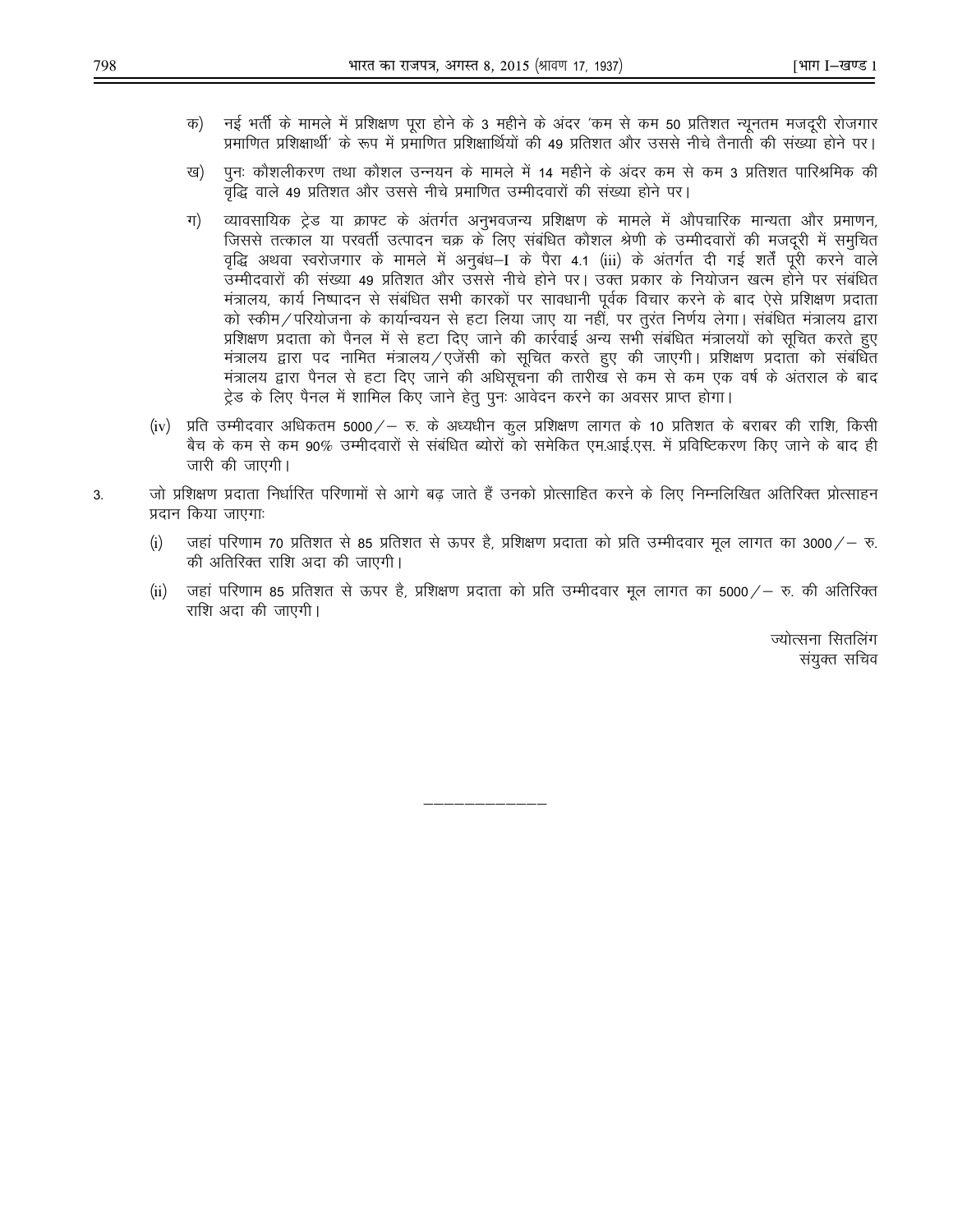- नई भर्ती के मामले में प्रशिक्षण पूरा होने के 3 महीने के अंदर 'कम से कम 50 प्रतिशत न्यूनतम मजदूरी रोजगार क) प्रमाणित प्रशिक्षार्थी' के रूप में प्रमाणित प्रशिक्षार्थियों की 49 प्रतिशत और उससे नीचे तैनाती की संख्या होने पर।
- पूनः कौशलीकरण तथा कौशल उन्नयन के मामले में 14 महीने के अंदर कम से कम 3 प्रतिशत पारिश्रमिक की ख) वृद्धि वाले 49 प्रतिशत और उससे नीचे प्रमाणित उम्मीदवारों की संख्या होने पर।
- ग $)$ व्यावसायिक ट्रेड या क्राफ्ट के अंतर्गत अनुभवजन्य प्रशिक्षण के मामले में औपचारिक मान्यता और प्रमाणन, जिससे तत्काल या परवर्ती उत्पादन चक्र के लिए संबंधित कौशल श्रेणी के उम्मीदवारों की मजदूरी में समुचित वृद्धि अथवा स्वरोजगार के मामले में अनुबंध–I के पैरा 4.1 (iii) के अंतर्गत दी गई शर्तें पूरी करने वाले उम्मीदवारों की संख्या 49 प्रतिशत और उससे नीचे होने पर। उक्त प्रकार के नियोजन खत्म होने पर संबंधित मंत्रालय, कार्य निष्पादन से संबंधित सभी कारकों पर सावधानी पूर्वक विचार करने के बाद ऐसे प्रशिक्षण प्रदाता को स्कीम / परियोजना के कार्यान्वयन से हटा लिया जाए या नहीं, पर तुरंत निर्णय लेगा। संबंधित मंत्रालय द्वारा प्रशिक्षण प्रदाता को पैनल में से हटा दिए जाने की कार्रवाई अन्य सभी संबंधित मंत्रालयों को सूचित करते हुए मंत्रालय द्वारा पद नामित मंत्रालय/एजेंसी को सूचित करते हुए की जाएगी। प्रशिक्षण प्रदाता को संबंधित मंत्रालय द्वारा पैनल से हटा दिए जाने की अधिसूचना की तारीख से कम से कम एक वर्ष के अंतराल के बाद ट्रेड के लिए पैनल में शामिल किए जाने हेतु पुनः आवेदन करने का अवसर प्राप्त होगा।
- (iv) प्रति उम्मीदवार अधिकतम 5000/— रु. के अध्यधीन कुल प्रशिक्षण लागत के 10 प्रतिशत के बराबर की राशि, किसी बैच के कम से कम 90% उम्मीदवारों से संबंधित ब्योरों को समेकित एम.आई.एस. में प्रविष्टिकरण किए जाने के बाद ही जारी की जाएगी।
- जो प्रशिक्षण प्रदाता निर्धारित परिणामों से आगे बढ जाते हैं उनको प्रोत्साहित करने के लिए निम्नलिखित अतिरिक्त प्रोत्साहन  $3<sub>l</sub>$ प्रदान किया जाएगाः
	- जहां परिणाम 70 प्रतिशत से 85 प्रतिशत से ऊपर है, प्रशिक्षण प्रदाता को प्रति उम्मीदवार मूल लागत का 3000/– रु.  $(i)$ की अतिरिक्त राशि अदा की जाएगी।
	- जहां परिणाम 85 प्रतिशत से ऊपर है, प्रशिक्षण प्रदाता को प्रति उम्मीदवार मूल लागत का 5000/— रु. की अतिरिक्त  $(ii)$ राशि अदा की जाएगी।

ज्योत्सना सितलिंग संयुक्त सचिव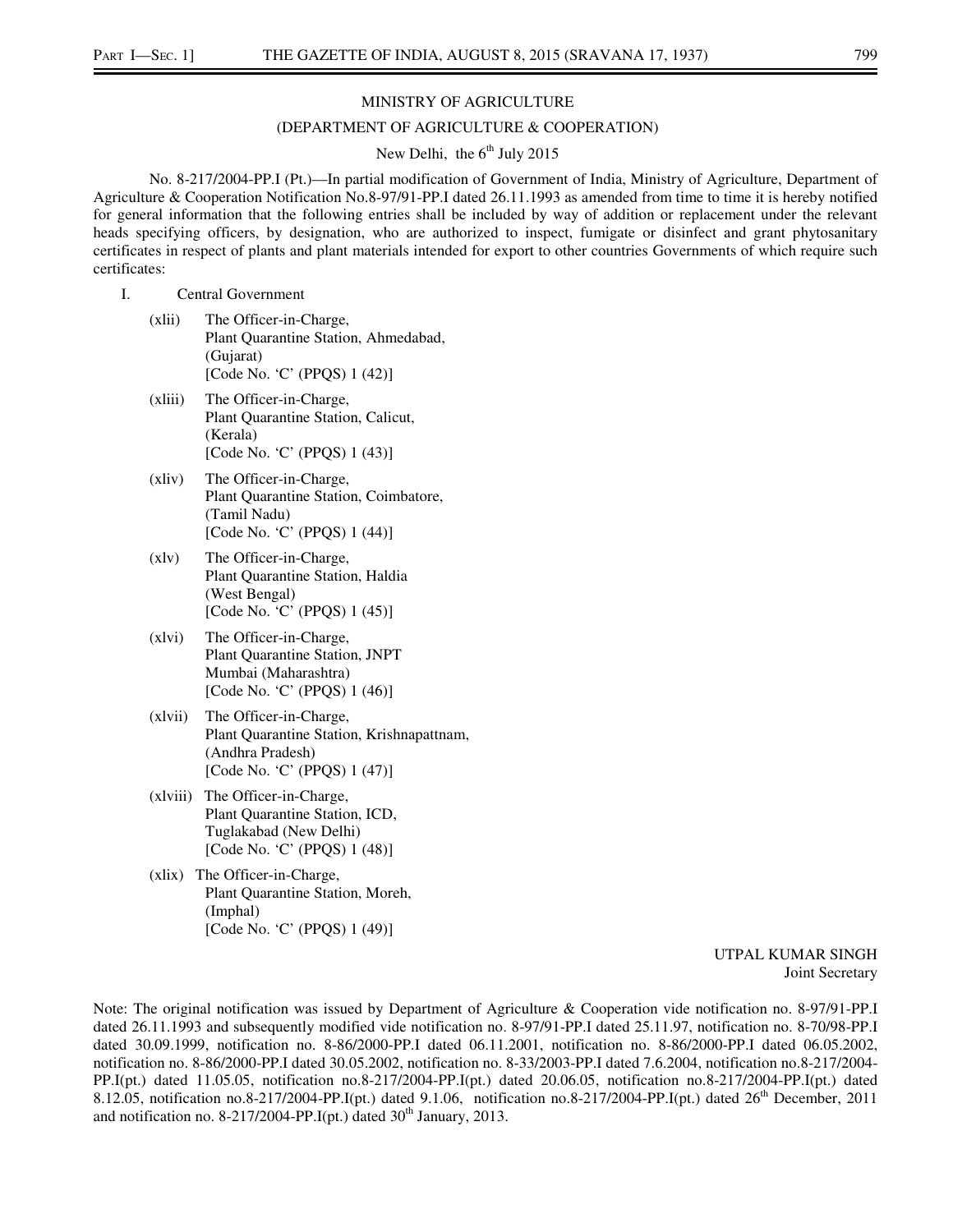#### MINISTRY OF AGRICULTURE

#### (DEPARTMENT OF AGRICULTURE & COOPERATION)

## New Delhi, the  $6<sup>th</sup>$  July 2015

No. 8-217/2004-PP.I (Pt.)—In partial modification of Government of India, Ministry of Agriculture, Department of Agriculture & Cooperation Notification No.8-97/91-PP.I dated 26.11.1993 as amended from time to time it is hereby notified for general information that the following entries shall be included by way of addition or replacement under the relevant heads specifying officers, by designation, who are authorized to inspect, fumigate or disinfect and grant phytosanitary certificates in respect of plants and plant materials intended for export to other countries Governments of which require such certificates:

#### I. Central Government

- (xlii) The Officer-in-Charge, Plant Quarantine Station, Ahmedabad, (Gujarat) [Code No. 'C' (PPQS) 1 (42)]
- (xliii) The Officer-in-Charge, Plant Quarantine Station, Calicut, (Kerala) [Code No. 'C' (PPQS) 1 (43)]
- (xliv) The Officer-in-Charge, Plant Quarantine Station, Coimbatore, (Tamil Nadu) [Code No. 'C' (PPQS) 1 (44)]
- (xlv) The Officer-in-Charge, Plant Quarantine Station, Haldia (West Bengal) [Code No. 'C' (PPQS) 1 (45)]
- (xlvi) The Officer-in-Charge, Plant Quarantine Station, JNPT Mumbai (Maharashtra) [Code No. 'C' (PPQS) 1 (46)]
- (xlvii) The Officer-in-Charge, Plant Quarantine Station, Krishnapattnam, (Andhra Pradesh) [Code No. 'C' (PPQS) 1 (47)]
- (xlviii) The Officer-in-Charge, Plant Quarantine Station, ICD, Tuglakabad (New Delhi) [Code No. 'C' (PPQS) 1 (48)]
- (xlix) The Officer-in-Charge, Plant Quarantine Station, Moreh, (Imphal) [Code No. 'C' (PPQS) 1 (49)]

 UTPAL KUMAR SINGH Joint Secretary

Note: The original notification was issued by Department of Agriculture & Cooperation vide notification no. 8-97/91-PP.I dated 26.11.1993 and subsequently modified vide notification no. 8-97/91-PP.I dated 25.11.97, notification no. 8-70/98-PP.I dated 30.09.1999, notification no. 8-86/2000-PP.I dated 06.11.2001, notification no. 8-86/2000-PP.I dated 06.05.2002, notification no. 8-86/2000-PP.I dated 30.05.2002, notification no. 8-33/2003-PP.I dated 7.6.2004, notification no.8-217/2004- PP.I(pt.) dated 11.05.05, notification no.8-217/2004-PP.I(pt.) dated 20.06.05, notification no.8-217/2004-PP.I(pt.) dated 8.12.05, notification no.8-217/2004-PP.I(pt.) dated 9.1.06, notification no.8-217/2004-PP.I(pt.) dated  $26<sup>th</sup>$  December, 2011 and notification no. 8-217/2004-PP.I(pt.) dated  $30<sup>th</sup>$  January, 2013.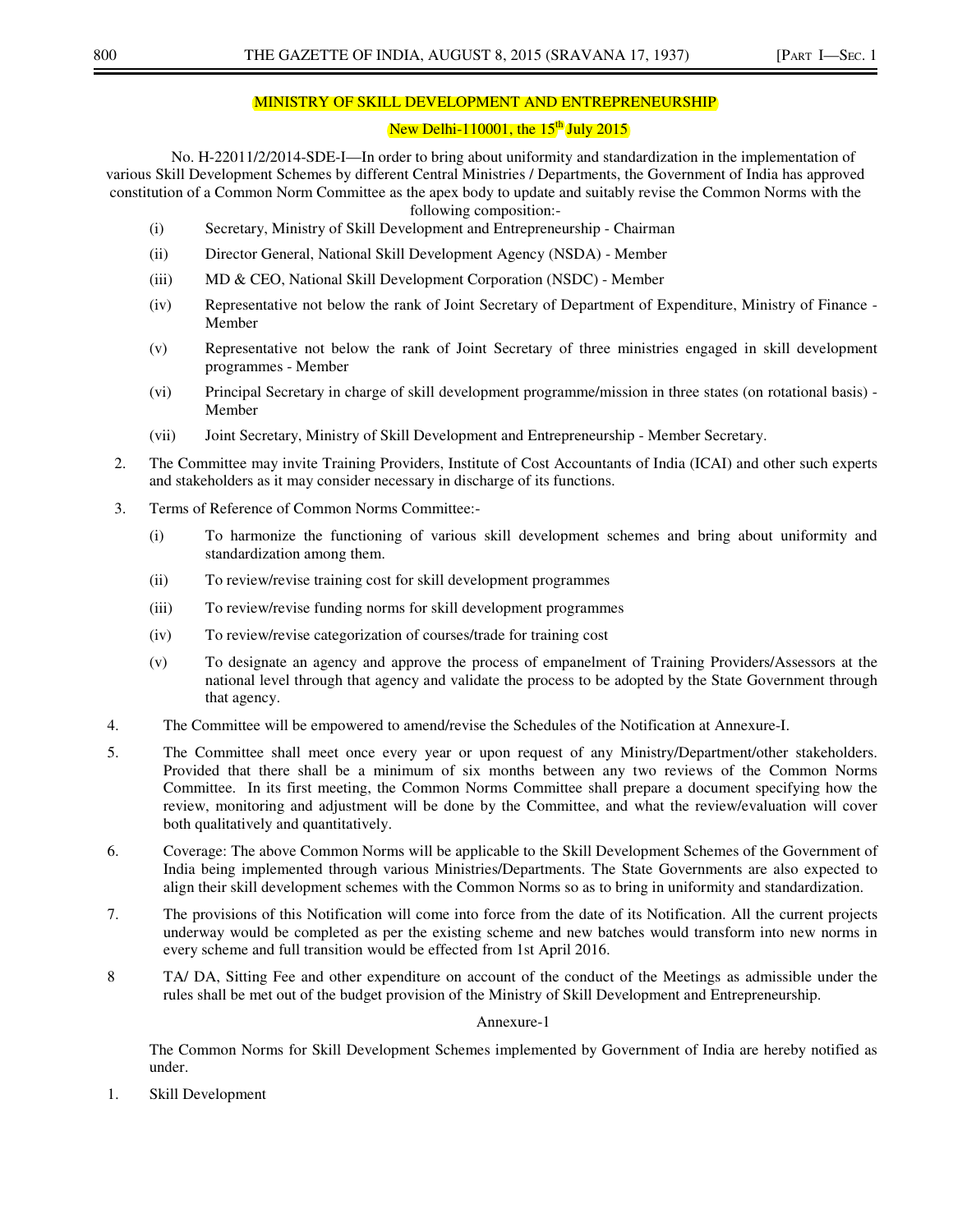### MINISTRY OF SKILL DEVELOPMENT AND ENTREPRENEURSHIP

## New Delhi-110001, the  $15<sup>th</sup>$  July 2015

No. H-22011/2/2014-SDE-I—In order to bring about uniformity and standardization in the implementation of various Skill Development Schemes by different Central Ministries / Departments, the Government of India has approved constitution of a Common Norm Committee as the apex body to update and suitably revise the Common Norms with the following composition:-

- (i) Secretary, Ministry of Skill Development and Entrepreneurship Chairman
- (ii) Director General, National Skill Development Agency (NSDA) Member
- (iii) MD & CEO, National Skill Development Corporation (NSDC) Member
- (iv) Representative not below the rank of Joint Secretary of Department of Expenditure, Ministry of Finance Member
- (v) Representative not below the rank of Joint Secretary of three ministries engaged in skill development programmes - Member
- (vi) Principal Secretary in charge of skill development programme/mission in three states (on rotational basis) Member
- (vii) Joint Secretary, Ministry of Skill Development and Entrepreneurship Member Secretary.
- 2. The Committee may invite Training Providers, Institute of Cost Accountants of India (ICAI) and other such experts and stakeholders as it may consider necessary in discharge of its functions.
- 3. Terms of Reference of Common Norms Committee:-
	- (i) To harmonize the functioning of various skill development schemes and bring about uniformity and standardization among them.
	- (ii) To review/revise training cost for skill development programmes
	- (iii) To review/revise funding norms for skill development programmes
	- (iv) To review/revise categorization of courses/trade for training cost
	- (v) To designate an agency and approve the process of empanelment of Training Providers/Assessors at the national level through that agency and validate the process to be adopted by the State Government through that agency.
- 4. The Committee will be empowered to amend/revise the Schedules of the Notification at Annexure-I.
- 5. The Committee shall meet once every year or upon request of any Ministry/Department/other stakeholders. Provided that there shall be a minimum of six months between any two reviews of the Common Norms Committee. In its first meeting, the Common Norms Committee shall prepare a document specifying how the review, monitoring and adjustment will be done by the Committee, and what the review/evaluation will cover both qualitatively and quantitatively.
- 6. Coverage: The above Common Norms will be applicable to the Skill Development Schemes of the Government of India being implemented through various Ministries/Departments. The State Governments are also expected to align their skill development schemes with the Common Norms so as to bring in uniformity and standardization.
- 7. The provisions of this Notification will come into force from the date of its Notification. All the current projects underway would be completed as per the existing scheme and new batches would transform into new norms in every scheme and full transition would be effected from 1st April 2016.
- 8 TA/ DA, Sitting Fee and other expenditure on account of the conduct of the Meetings as admissible under the rules shall be met out of the budget provision of the Ministry of Skill Development and Entrepreneurship.

#### Annexure-1

The Common Norms for Skill Development Schemes implemented by Government of India are hereby notified as under.

1. Skill Development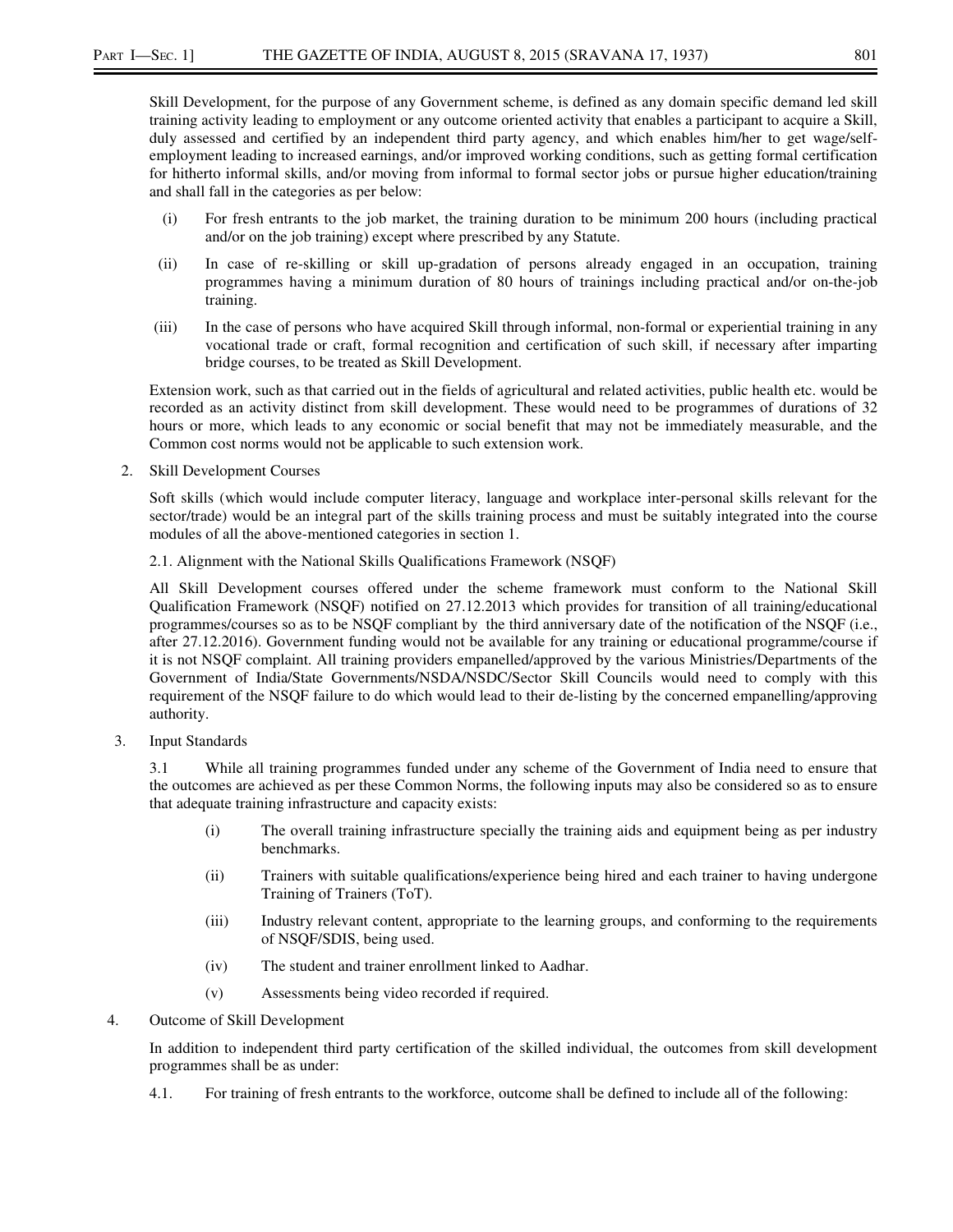Skill Development, for the purpose of any Government scheme, is defined as any domain specific demand led skill training activity leading to employment or any outcome oriented activity that enables a participant to acquire a Skill, duly assessed and certified by an independent third party agency, and which enables him/her to get wage/selfemployment leading to increased earnings, and/or improved working conditions, such as getting formal certification for hitherto informal skills, and/or moving from informal to formal sector jobs or pursue higher education/training and shall fall in the categories as per below:

- (i) For fresh entrants to the job market, the training duration to be minimum 200 hours (including practical and/or on the job training) except where prescribed by any Statute.
- (ii) In case of re-skilling or skill up-gradation of persons already engaged in an occupation, training programmes having a minimum duration of 80 hours of trainings including practical and/or on-the-job training.
- (iii) In the case of persons who have acquired Skill through informal, non-formal or experiential training in any vocational trade or craft, formal recognition and certification of such skill, if necessary after imparting bridge courses, to be treated as Skill Development.

Extension work, such as that carried out in the fields of agricultural and related activities, public health etc. would be recorded as an activity distinct from skill development. These would need to be programmes of durations of 32 hours or more, which leads to any economic or social benefit that may not be immediately measurable, and the Common cost norms would not be applicable to such extension work.

2. Skill Development Courses

Soft skills (which would include computer literacy, language and workplace inter-personal skills relevant for the sector/trade) would be an integral part of the skills training process and must be suitably integrated into the course modules of all the above-mentioned categories in section 1.

2.1. Alignment with the National Skills Qualifications Framework (NSQF)

All Skill Development courses offered under the scheme framework must conform to the National Skill Qualification Framework (NSQF) notified on 27.12.2013 which provides for transition of all training/educational programmes/courses so as to be NSQF compliant by the third anniversary date of the notification of the NSQF (i.e., after 27.12.2016). Government funding would not be available for any training or educational programme/course if it is not NSQF complaint. All training providers empanelled/approved by the various Ministries/Departments of the Government of India/State Governments/NSDA/NSDC/Sector Skill Councils would need to comply with this requirement of the NSQF failure to do which would lead to their de-listing by the concerned empanelling/approving authority.

3. Input Standards

3.1 While all training programmes funded under any scheme of the Government of India need to ensure that the outcomes are achieved as per these Common Norms, the following inputs may also be considered so as to ensure that adequate training infrastructure and capacity exists:

- (i) The overall training infrastructure specially the training aids and equipment being as per industry benchmarks.
- (ii) Trainers with suitable qualifications/experience being hired and each trainer to having undergone Training of Trainers (ToT).
- (iii) Industry relevant content, appropriate to the learning groups, and conforming to the requirements of NSQF/SDIS, being used.
- (iv) The student and trainer enrollment linked to Aadhar.
- (v) Assessments being video recorded if required.
- 4. Outcome of Skill Development

In addition to independent third party certification of the skilled individual, the outcomes from skill development programmes shall be as under:

4.1. For training of fresh entrants to the workforce, outcome shall be defined to include all of the following: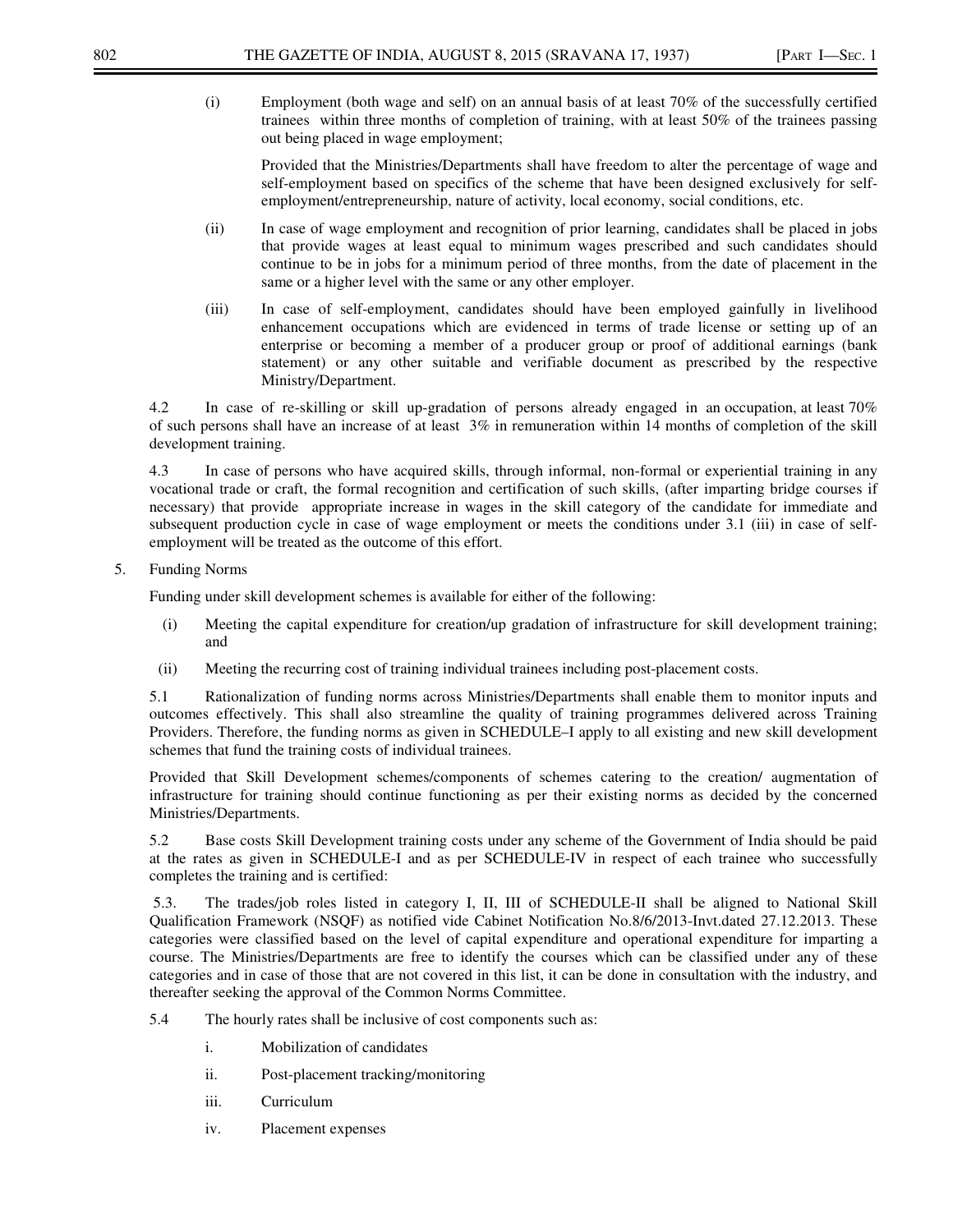Provided that the Ministries/Departments shall have freedom to alter the percentage of wage and self-employment based on specifics of the scheme that have been designed exclusively for selfemployment/entrepreneurship, nature of activity, local economy, social conditions, etc.

- (ii) In case of wage employment and recognition of prior learning, candidates shall be placed in jobs that provide wages at least equal to minimum wages prescribed and such candidates should continue to be in jobs for a minimum period of three months, from the date of placement in the same or a higher level with the same or any other employer.
- (iii) In case of self-employment, candidates should have been employed gainfully in livelihood enhancement occupations which are evidenced in terms of trade license or setting up of an enterprise or becoming a member of a producer group or proof of additional earnings (bank statement) or any other suitable and verifiable document as prescribed by the respective Ministry/Department.

4.2 In case of re-skilling or skill up-gradation of persons already engaged in an occupation, at least 70% of such persons shall have an increase of at least 3% in remuneration within 14 months of completion of the skill development training.

4.3 In case of persons who have acquired skills, through informal, non-formal or experiential training in any vocational trade or craft, the formal recognition and certification of such skills, (after imparting bridge courses if necessary) that provide appropriate increase in wages in the skill category of the candidate for immediate and subsequent production cycle in case of wage employment or meets the conditions under 3.1 (iii) in case of selfemployment will be treated as the outcome of this effort.

5. Funding Norms

Funding under skill development schemes is available for either of the following:

- (i) Meeting the capital expenditure for creation/up gradation of infrastructure for skill development training; and
- (ii) Meeting the recurring cost of training individual trainees including post-placement costs.

5.1 Rationalization of funding norms across Ministries/Departments shall enable them to monitor inputs and outcomes effectively. This shall also streamline the quality of training programmes delivered across Training Providers. Therefore, the funding norms as given in SCHEDULE–I apply to all existing and new skill development schemes that fund the training costs of individual trainees.

Provided that Skill Development schemes/components of schemes catering to the creation/ augmentation of infrastructure for training should continue functioning as per their existing norms as decided by the concerned Ministries/Departments.

5.2 Base costs Skill Development training costs under any scheme of the Government of India should be paid at the rates as given in SCHEDULE-I and as per SCHEDULE-IV in respect of each trainee who successfully completes the training and is certified:

 5.3. The trades/job roles listed in category I, II, III of SCHEDULE-II shall be aligned to National Skill Qualification Framework (NSQF) as notified vide Cabinet Notification No.8/6/2013-Invt.dated 27.12.2013. These categories were classified based on the level of capital expenditure and operational expenditure for imparting a course. The Ministries/Departments are free to identify the courses which can be classified under any of these categories and in case of those that are not covered in this list, it can be done in consultation with the industry, and thereafter seeking the approval of the Common Norms Committee.

- 5.4 The hourly rates shall be inclusive of cost components such as:
	- i. Mobilization of candidates
	- ii. Post-placement tracking/monitoring
	- iii. Curriculum
	- iv. Placement expenses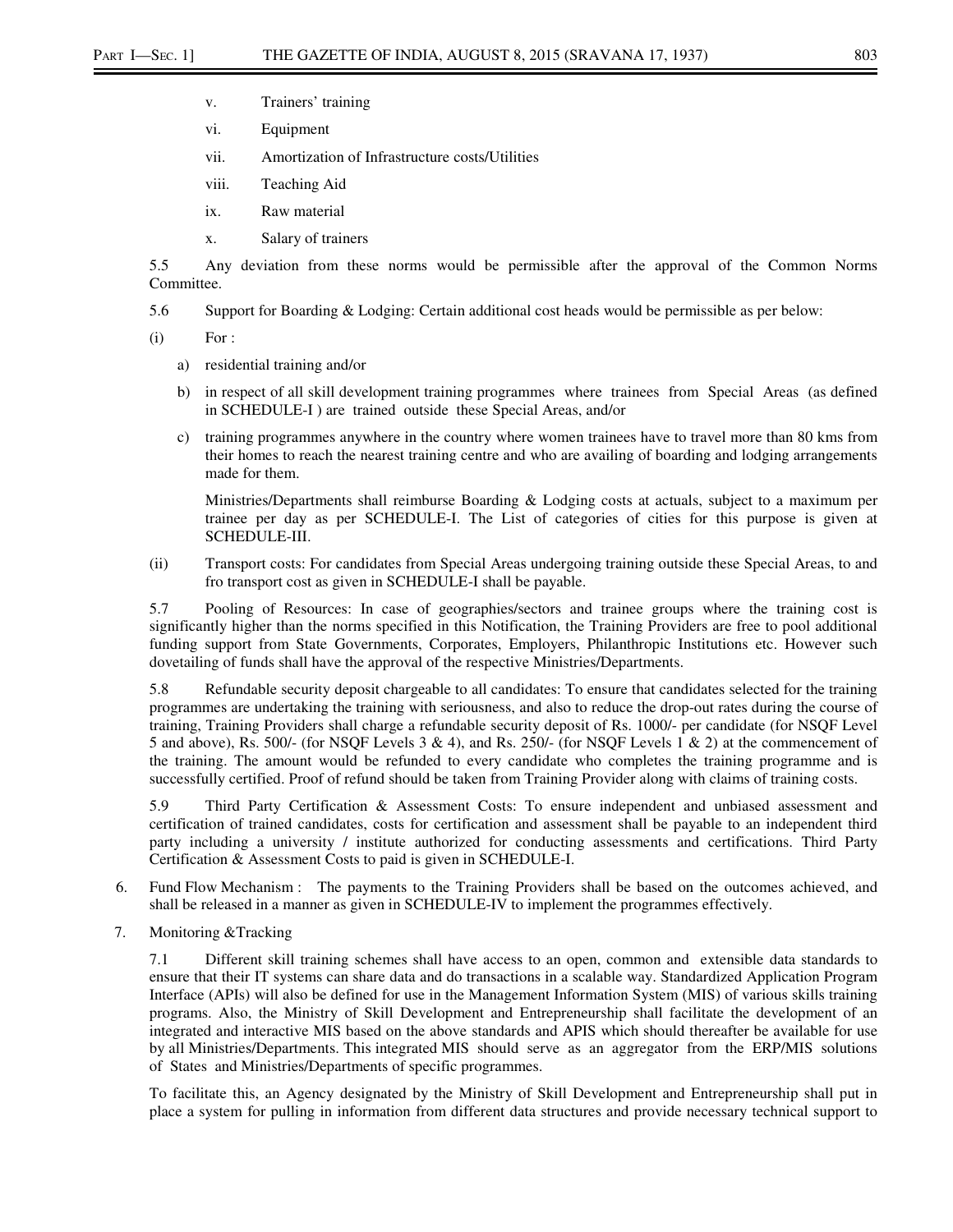- v. Trainers' training
- vi. Equipment
- vii. Amortization of Infrastructure costs/Utilities
- viii. Teaching Aid
- ix. Raw material
- x. Salary of trainers

5.5 Any deviation from these norms would be permissible after the approval of the Common Norms Committee.

5.6 Support for Boarding & Lodging: Certain additional cost heads would be permissible as per below:

 $(i)$  For :

- a) residential training and/or
- b) in respect of all skill development training programmes where trainees from Special Areas (as defined in SCHEDULE-I ) are trained outside these Special Areas, and/or
- c) training programmes anywhere in the country where women trainees have to travel more than 80 kms from their homes to reach the nearest training centre and who are availing of boarding and lodging arrangements made for them.

Ministries/Departments shall reimburse Boarding & Lodging costs at actuals, subject to a maximum per trainee per day as per SCHEDULE-I. The List of categories of cities for this purpose is given at SCHEDULE-III.

(ii) Transport costs: For candidates from Special Areas undergoing training outside these Special Areas, to and fro transport cost as given in SCHEDULE-I shall be payable.

5.7 Pooling of Resources: In case of geographies/sectors and trainee groups where the training cost is significantly higher than the norms specified in this Notification, the Training Providers are free to pool additional funding support from State Governments, Corporates, Employers, Philanthropic Institutions etc. However such dovetailing of funds shall have the approval of the respective Ministries/Departments.

5.8 Refundable security deposit chargeable to all candidates: To ensure that candidates selected for the training programmes are undertaking the training with seriousness, and also to reduce the drop-out rates during the course of training, Training Providers shall charge a refundable security deposit of Rs. 1000/- per candidate (for NSQF Level 5 and above), Rs. 500/- (for NSQF Levels 3 & 4), and Rs. 250/- (for NSQF Levels 1 & 2) at the commencement of the training. The amount would be refunded to every candidate who completes the training programme and is successfully certified. Proof of refund should be taken from Training Provider along with claims of training costs.

5.9 Third Party Certification & Assessment Costs: To ensure independent and unbiased assessment and certification of trained candidates, costs for certification and assessment shall be payable to an independent third party including a university / institute authorized for conducting assessments and certifications. Third Party Certification & Assessment Costs to paid is given in SCHEDULE-I.

- 6. Fund Flow Mechanism : The payments to the Training Providers shall be based on the outcomes achieved, and shall be released in a manner as given in SCHEDULE-IV to implement the programmes effectively.
- 7. Monitoring &Tracking

7.1 Different skill training schemes shall have access to an open, common and extensible data standards to ensure that their IT systems can share data and do transactions in a scalable way. Standardized Application Program Interface (APIs) will also be defined for use in the Management Information System (MIS) of various skills training programs. Also, the Ministry of Skill Development and Entrepreneurship shall facilitate the development of an integrated and interactive MIS based on the above standards and APIS which should thereafter be available for use by all Ministries/Departments. This integrated MIS should serve as an aggregator from the ERP/MIS solutions of States and Ministries/Departments of specific programmes.

To facilitate this, an Agency designated by the Ministry of Skill Development and Entrepreneurship shall put in place a system for pulling in information from different data structures and provide necessary technical support to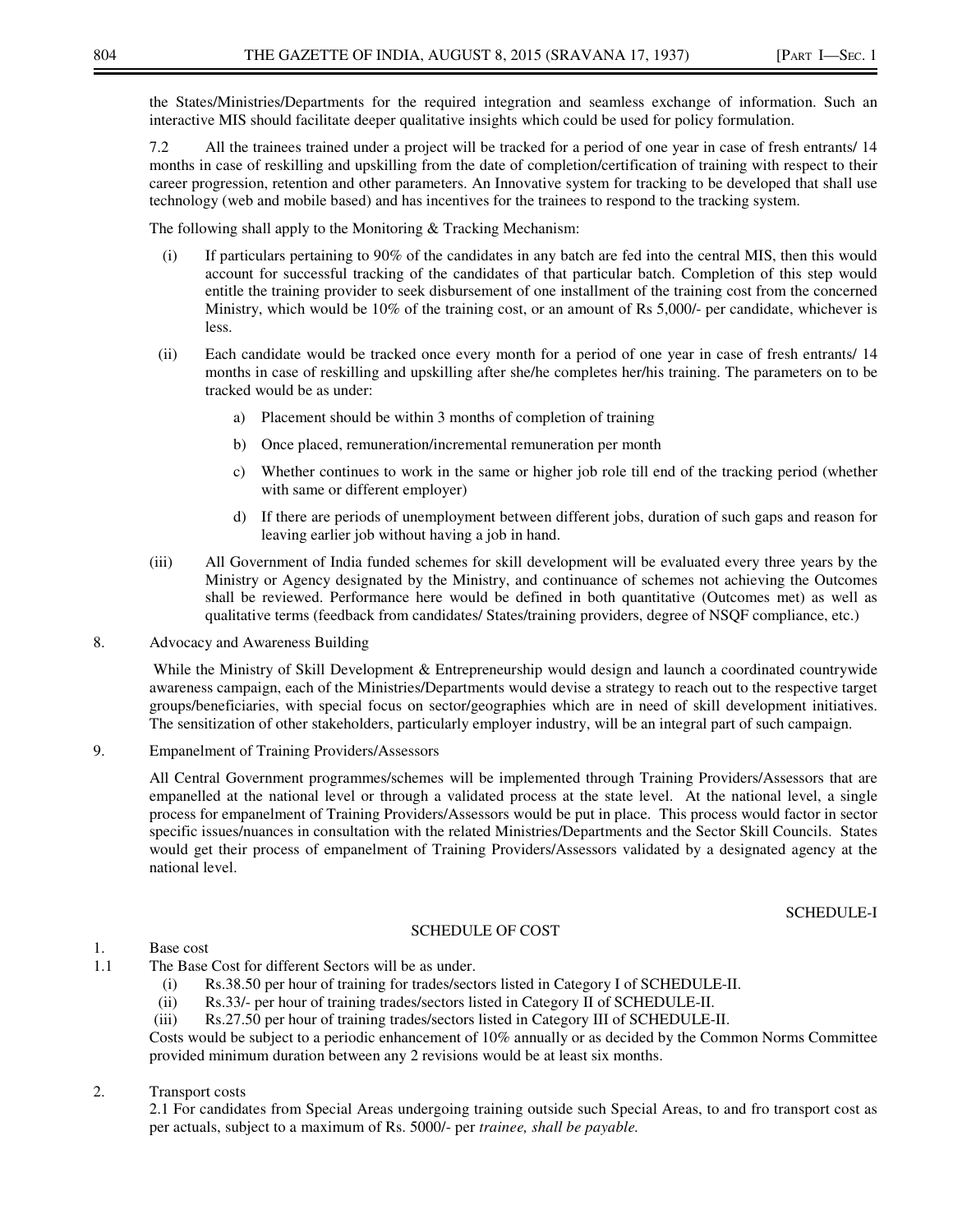the States/Ministries/Departments for the required integration and seamless exchange of information. Such an interactive MIS should facilitate deeper qualitative insights which could be used for policy formulation.

7.2 All the trainees trained under a project will be tracked for a period of one year in case of fresh entrants/ 14 months in case of reskilling and upskilling from the date of completion/certification of training with respect to their career progression, retention and other parameters. An Innovative system for tracking to be developed that shall use technology (web and mobile based) and has incentives for the trainees to respond to the tracking system.

The following shall apply to the Monitoring & Tracking Mechanism:

- (i) If particulars pertaining to 90% of the candidates in any batch are fed into the central MIS, then this would account for successful tracking of the candidates of that particular batch. Completion of this step would entitle the training provider to seek disbursement of one installment of the training cost from the concerned Ministry, which would be 10% of the training cost, or an amount of Rs 5,000/- per candidate, whichever is less.
- (ii) Each candidate would be tracked once every month for a period of one year in case of fresh entrants/ 14 months in case of reskilling and upskilling after she/he completes her/his training. The parameters on to be tracked would be as under:
	- a) Placement should be within 3 months of completion of training
	- b) Once placed, remuneration/incremental remuneration per month
	- c) Whether continues to work in the same or higher job role till end of the tracking period (whether with same or different employer)
	- d) If there are periods of unemployment between different jobs, duration of such gaps and reason for leaving earlier job without having a job in hand.
- (iii) All Government of India funded schemes for skill development will be evaluated every three years by the Ministry or Agency designated by the Ministry, and continuance of schemes not achieving the Outcomes shall be reviewed. Performance here would be defined in both quantitative (Outcomes met) as well as qualitative terms (feedback from candidates/ States/training providers, degree of NSQF compliance, etc.)
- 8. Advocacy and Awareness Building

 While the Ministry of Skill Development & Entrepreneurship would design and launch a coordinated countrywide awareness campaign, each of the Ministries/Departments would devise a strategy to reach out to the respective target groups/beneficiaries, with special focus on sector/geographies which are in need of skill development initiatives. The sensitization of other stakeholders, particularly employer industry, will be an integral part of such campaign.

9. Empanelment of Training Providers/Assessors

All Central Government programmes/schemes will be implemented through Training Providers/Assessors that are empanelled at the national level or through a validated process at the state level. At the national level, a single process for empanelment of Training Providers/Assessors would be put in place. This process would factor in sector specific issues/nuances in consultation with the related Ministries/Departments and the Sector Skill Councils. States would get their process of empanelment of Training Providers/Assessors validated by a designated agency at the national level.

SCHEDULE-I

# 1. Base cost

- 1.1 The Base Cost for different Sectors will be as under.
	- (i) Rs.38.50 per hour of training for trades/sectors listed in Category I of SCHEDULE-II.

SCHEDULE OF COST

- (ii) Rs.33/- per hour of training trades/sectors listed in Category II of SCHEDULE-II.
- (iii) Rs.27.50 per hour of training trades/sectors listed in Category III of SCHEDULE-II.

Costs would be subject to a periodic enhancement of 10% annually or as decided by the Common Norms Committee provided minimum duration between any 2 revisions would be at least six months.

2. Transport costs

 2.1 For candidates from Special Areas undergoing training outside such Special Areas, to and fro transport cost as per actuals, subject to a maximum of Rs. 5000/- per *trainee, shall be payable.*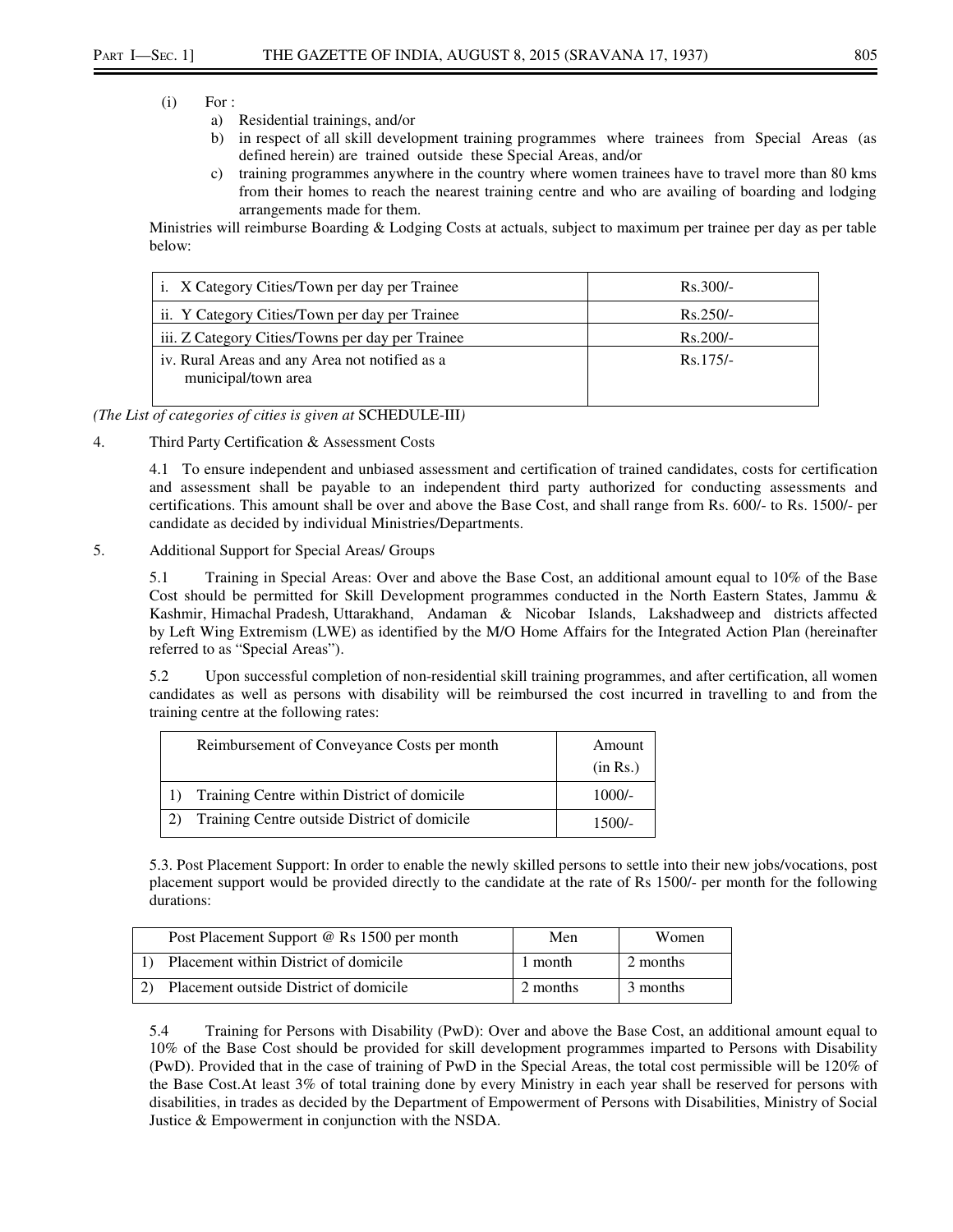- $(i)$  For :
	- a) Residential trainings, and/or
	- b) in respect of all skill development training programmes where trainees from Special Areas (as defined herein) are trained outside these Special Areas, and/or
	- c) training programmes anywhere in the country where women trainees have to travel more than 80 kms from their homes to reach the nearest training centre and who are availing of boarding and lodging arrangements made for them.

Ministries will reimburse Boarding & Lodging Costs at actuals, subject to maximum per trainee per day as per table below:

| i. X Category Cities/Town per day per Trainee                         | $Rs.300/-$ |
|-----------------------------------------------------------------------|------------|
| ii. Y Category Cities/Town per day per Trainee                        | $Rs.250/-$ |
| iii. Z Category Cities/Towns per day per Trainee                      | $Rs.200/-$ |
| iv. Rural Areas and any Area not notified as a<br>municipal/town area | $Rs.175/-$ |

*(The List of categories of cities is given at* SCHEDULE-III*)* 

4. Third Party Certification & Assessment Costs

4.1 To ensure independent and unbiased assessment and certification of trained candidates, costs for certification and assessment shall be payable to an independent third party authorized for conducting assessments and certifications. This amount shall be over and above the Base Cost, and shall range from Rs. 600/- to Rs. 1500/- per candidate as decided by individual Ministries/Departments.

5. Additional Support for Special Areas/ Groups

5.1 Training in Special Areas: Over and above the Base Cost, an additional amount equal to 10% of the Base Cost should be permitted for Skill Development programmes conducted in the North Eastern States, Jammu & Kashmir, Himachal Pradesh, Uttarakhand, Andaman & Nicobar Islands, Lakshadweep and districts affected by Left Wing Extremism (LWE) as identified by the M/O Home Affairs for the Integrated Action Plan (hereinafter referred to as "Special Areas").

5.2 Upon successful completion of non-residential skill training programmes, and after certification, all women candidates as well as persons with disability will be reimbursed the cost incurred in travelling to and from the training centre at the following rates:

| Reimbursement of Conveyance Costs per month  | Amount<br>(in Rs.) |
|----------------------------------------------|--------------------|
| Training Centre within District of domicile  | $1000/-$           |
| Training Centre outside District of domicile | $1500/-$           |

5.3. Post Placement Support: In order to enable the newly skilled persons to settle into their new jobs/vocations, post placement support would be provided directly to the candidate at the rate of Rs 1500/- per month for the following durations:

|    | Post Placement Support @ Rs 1500 per month | Men      | Women    |
|----|--------------------------------------------|----------|----------|
|    | Placement within District of domicile      | 1 month  | 2 months |
| 2) | Placement outside District of domicile     | 2 months | 3 months |

5.4 Training for Persons with Disability (PwD): Over and above the Base Cost, an additional amount equal to 10% of the Base Cost should be provided for skill development programmes imparted to Persons with Disability (PwD). Provided that in the case of training of PwD in the Special Areas, the total cost permissible will be 120% of the Base Cost.At least 3% of total training done by every Ministry in each year shall be reserved for persons with disabilities, in trades as decided by the Department of Empowerment of Persons with Disabilities, Ministry of Social Justice & Empowerment in conjunction with the NSDA.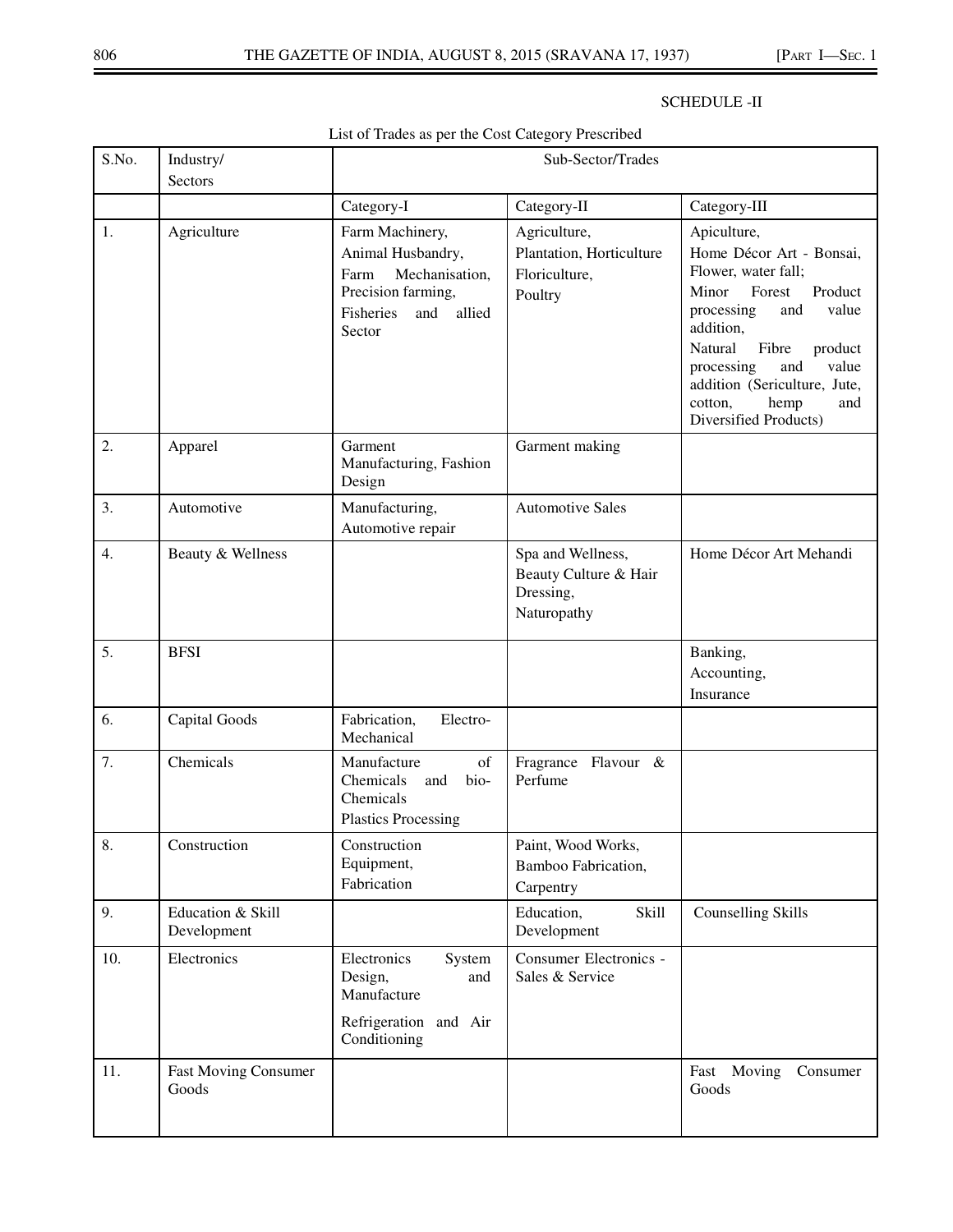# SCHEDULE -II

# List of Trades as per the Cost Category Prescribed

| S.No. | Industry/<br>Sectors                 | Sub-Sector/Trades                                                                                                            |                                                                        |                                                                                                                                                                                                                                                                                         |
|-------|--------------------------------------|------------------------------------------------------------------------------------------------------------------------------|------------------------------------------------------------------------|-----------------------------------------------------------------------------------------------------------------------------------------------------------------------------------------------------------------------------------------------------------------------------------------|
|       |                                      | Category-I                                                                                                                   | Category-II                                                            | Category-III                                                                                                                                                                                                                                                                            |
| 1.    | Agriculture                          | Farm Machinery,<br>Animal Husbandry,<br>Mechanisation,<br>Farm<br>Precision farming,<br>Fisheries<br>allied<br>and<br>Sector | Agriculture,<br>Plantation, Horticulture<br>Floriculture,<br>Poultry   | Apiculture,<br>Home Décor Art - Bonsai,<br>Flower, water fall;<br>Minor<br>Forest<br>Product<br>processing<br>value<br>and<br>addition,<br>Natural<br>Fibre<br>product<br>value<br>processing<br>and<br>addition (Sericulture, Jute,<br>cotton,<br>hemp<br>and<br>Diversified Products) |
| 2.    | Apparel                              | Garment<br>Manufacturing, Fashion<br>Design                                                                                  | Garment making                                                         |                                                                                                                                                                                                                                                                                         |
| 3.    | Automotive                           | Manufacturing,<br>Automotive repair                                                                                          | <b>Automotive Sales</b>                                                |                                                                                                                                                                                                                                                                                         |
| 4.    | Beauty & Wellness                    |                                                                                                                              | Spa and Wellness,<br>Beauty Culture & Hair<br>Dressing,<br>Naturopathy | Home Décor Art Mehandi                                                                                                                                                                                                                                                                  |
| 5.    | <b>BFSI</b>                          |                                                                                                                              |                                                                        | Banking,<br>Accounting,<br>Insurance                                                                                                                                                                                                                                                    |
| 6.    | Capital Goods                        | Fabrication,<br>Electro-<br>Mechanical                                                                                       |                                                                        |                                                                                                                                                                                                                                                                                         |
| 7.    | Chemicals                            | Manufacture<br>of<br>Chemicals<br>bio-<br>and<br>Chemicals<br><b>Plastics Processing</b>                                     | Fragrance Flavour &<br>Perfume                                         |                                                                                                                                                                                                                                                                                         |
| 8.    | Construction                         | Construction<br>Equipment,<br>Fabrication                                                                                    | Paint, Wood Works,<br>Bamboo Fabrication,<br>Carpentry                 |                                                                                                                                                                                                                                                                                         |
| 9.    | Education & Skill<br>Development     |                                                                                                                              | Skill<br>Education,<br>Development                                     | <b>Counselling Skills</b>                                                                                                                                                                                                                                                               |
| 10.   | Electronics                          | Electronics<br>System<br>Design,<br>and<br>Manufacture<br>Refrigeration<br>and Air<br>Conditioning                           | Consumer Electronics -<br>Sales & Service                              |                                                                                                                                                                                                                                                                                         |
| 11.   | <b>Fast Moving Consumer</b><br>Goods |                                                                                                                              |                                                                        | Moving<br>Consumer<br>Fast<br>Goods                                                                                                                                                                                                                                                     |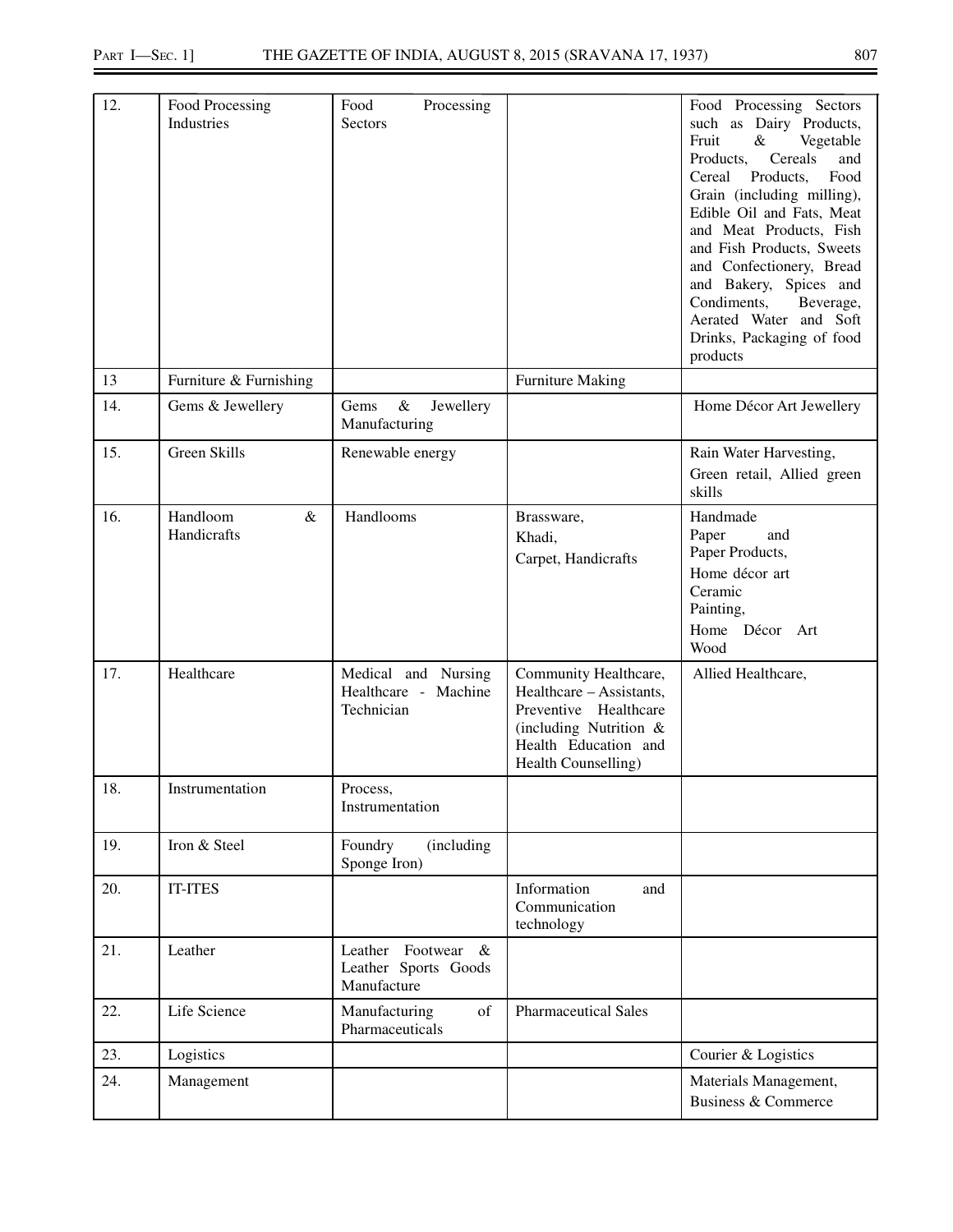| 12. | Food Processing<br>Industries   | Processing<br>Food<br>Sectors                                   |                                                                                                                                                        | Food Processing Sectors<br>such as Dairy Products,<br>Fruit<br>Vegetable<br>&<br>and<br>Products,<br>Cereals<br>Products,<br>Food<br>Cereal<br>Grain (including milling),<br>Edible Oil and Fats, Meat<br>and Meat Products, Fish<br>and Fish Products, Sweets<br>and Confectionery, Bread<br>and Bakery, Spices and<br>Condiments,<br>Beverage,<br>Aerated Water and Soft<br>Drinks, Packaging of food<br>products |
|-----|---------------------------------|-----------------------------------------------------------------|--------------------------------------------------------------------------------------------------------------------------------------------------------|---------------------------------------------------------------------------------------------------------------------------------------------------------------------------------------------------------------------------------------------------------------------------------------------------------------------------------------------------------------------------------------------------------------------|
| 13  | Furniture & Furnishing          |                                                                 | <b>Furniture Making</b>                                                                                                                                |                                                                                                                                                                                                                                                                                                                                                                                                                     |
| 14. | Gems & Jewellery                | $\&$<br>Jewellery<br>Gems<br>Manufacturing                      |                                                                                                                                                        | Home Décor Art Jewellery                                                                                                                                                                                                                                                                                                                                                                                            |
| 15. | Green Skills                    | Renewable energy                                                |                                                                                                                                                        | Rain Water Harvesting,<br>Green retail, Allied green<br>skills                                                                                                                                                                                                                                                                                                                                                      |
| 16. | Handloom<br>$\&$<br>Handicrafts | Handlooms                                                       | Brassware,<br>Khadi,<br>Carpet, Handicrafts                                                                                                            | Handmade<br>Paper<br>and<br>Paper Products,<br>Home décor art<br>Ceramic<br>Painting,<br>Home Décor Art<br>Wood                                                                                                                                                                                                                                                                                                     |
| 17. | Healthcare                      | Medical and Nursing<br>Healthcare - Machine<br>Technician       | Community Healthcare,<br>Healthcare – Assistants,<br>Preventive Healthcare<br>(including Nutrition $\&$<br>Health Education and<br>Health Counselling) | Allied Healthcare,                                                                                                                                                                                                                                                                                                                                                                                                  |
| 18. | Instrumentation                 | Process,<br>Instrumentation                                     |                                                                                                                                                        |                                                                                                                                                                                                                                                                                                                                                                                                                     |
| 19. | Iron & Steel                    | Foundry<br>(including<br>Sponge Iron)                           |                                                                                                                                                        |                                                                                                                                                                                                                                                                                                                                                                                                                     |
| 20. | <b>IT-ITES</b>                  |                                                                 | Information<br>and<br>Communication<br>technology                                                                                                      |                                                                                                                                                                                                                                                                                                                                                                                                                     |
| 21. | Leather                         | Leather Footwear<br>$\&$<br>Leather Sports Goods<br>Manufacture |                                                                                                                                                        |                                                                                                                                                                                                                                                                                                                                                                                                                     |
| 22. | Life Science                    | Manufacturing<br>of<br>Pharmaceuticals                          | <b>Pharmaceutical Sales</b>                                                                                                                            |                                                                                                                                                                                                                                                                                                                                                                                                                     |
| 23. | Logistics                       |                                                                 |                                                                                                                                                        | Courier & Logistics                                                                                                                                                                                                                                                                                                                                                                                                 |
| 24. | Management                      |                                                                 |                                                                                                                                                        | Materials Management,<br><b>Business &amp; Commerce</b>                                                                                                                                                                                                                                                                                                                                                             |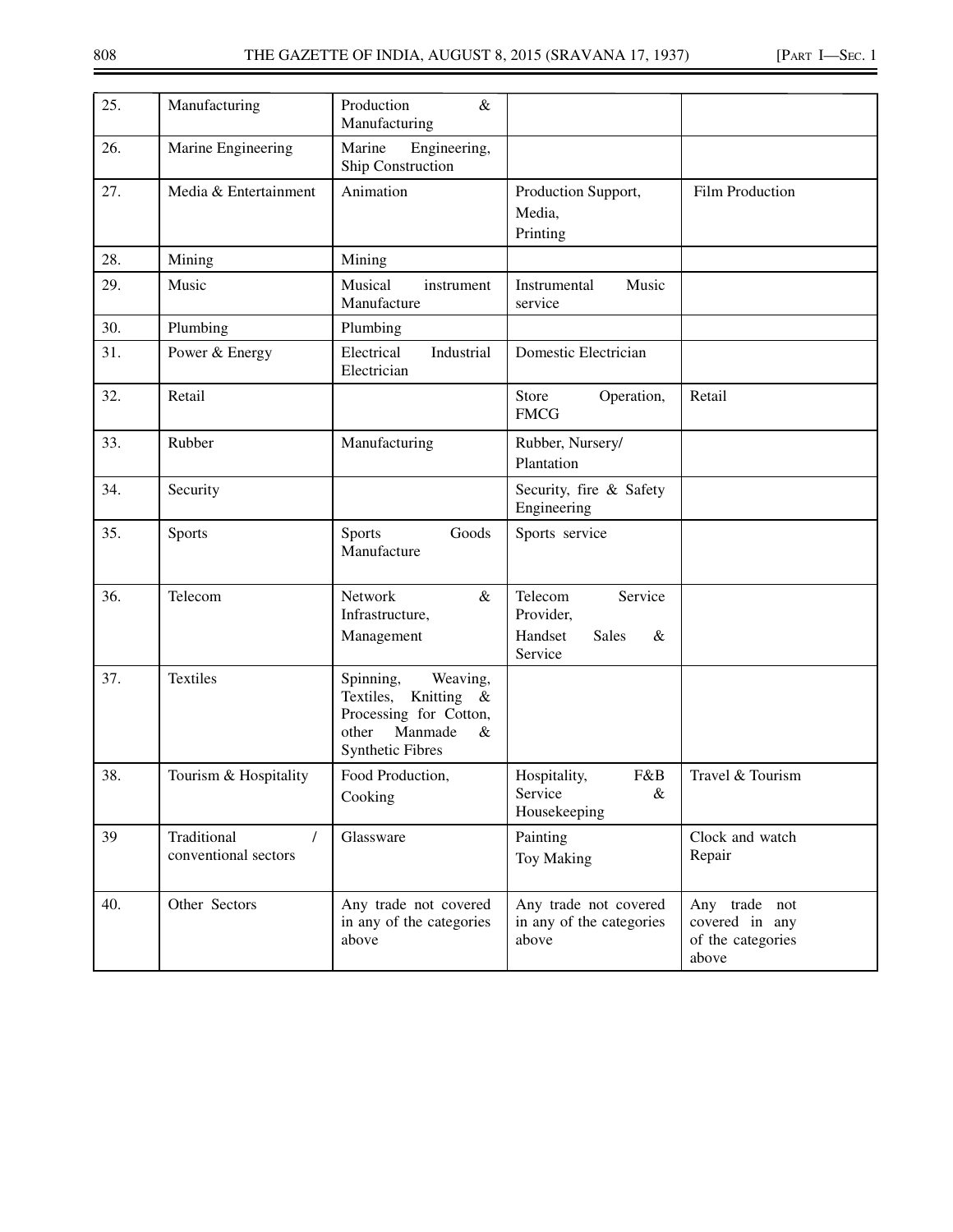| 25. | Manufacturing                                   | Production<br>$\&$<br>Manufacturing                                                                                                     |                                                                            |                                                               |
|-----|-------------------------------------------------|-----------------------------------------------------------------------------------------------------------------------------------------|----------------------------------------------------------------------------|---------------------------------------------------------------|
| 26. | Marine Engineering                              | Engineering,<br>Marine<br>Ship Construction                                                                                             |                                                                            |                                                               |
| 27. | Media & Entertainment                           | Animation                                                                                                                               | Production Support,<br>Media,<br>Printing                                  | <b>Film Production</b>                                        |
| 28. | Mining                                          | Mining                                                                                                                                  |                                                                            |                                                               |
| 29. | Music                                           | Musical<br>instrument<br>Manufacture                                                                                                    | Instrumental<br>Music<br>service                                           |                                                               |
| 30. | Plumbing                                        | Plumbing                                                                                                                                |                                                                            |                                                               |
| 31. | Power & Energy                                  | Electrical<br>Industrial<br>Electrician                                                                                                 | Domestic Electrician                                                       |                                                               |
| 32. | Retail                                          |                                                                                                                                         | Store<br>Operation,<br><b>FMCG</b>                                         | Retail                                                        |
| 33. | Rubber                                          | Manufacturing                                                                                                                           | Rubber, Nursery/<br>Plantation                                             |                                                               |
| 34. | Security                                        |                                                                                                                                         | Security, fire & Safety<br>Engineering                                     |                                                               |
| 35. | Sports                                          | Sports<br>Goods<br>Manufacture                                                                                                          | Sports service                                                             |                                                               |
| 36. | Telecom                                         | Network<br>$\&$<br>Infrastructure,<br>Management                                                                                        | Telecom<br>Service<br>Provider,<br>Handset<br><b>Sales</b><br>&<br>Service |                                                               |
| 37. | Textiles                                        | Weaving,<br>Spinning,<br>Textiles,<br>Knitting<br>$\&$<br>Processing for Cotton,<br>Manmade<br>other<br>$\&$<br><b>Synthetic Fibres</b> |                                                                            |                                                               |
| 38. | Tourism & Hospitality                           | Food Production,<br>Cooking                                                                                                             | F&B<br>Hospitality,<br>Service<br>$\&$<br>Housekeeping                     | Travel & Tourism                                              |
| 39  | Traditional<br>$\prime$<br>conventional sectors | Glassware                                                                                                                               | Painting<br><b>Toy Making</b>                                              | Clock and watch<br>Repair                                     |
| 40. | Other Sectors                                   | Any trade not covered<br>in any of the categories<br>above                                                                              | Any trade not covered<br>in any of the categories<br>above                 | Any trade not<br>covered in any<br>of the categories<br>above |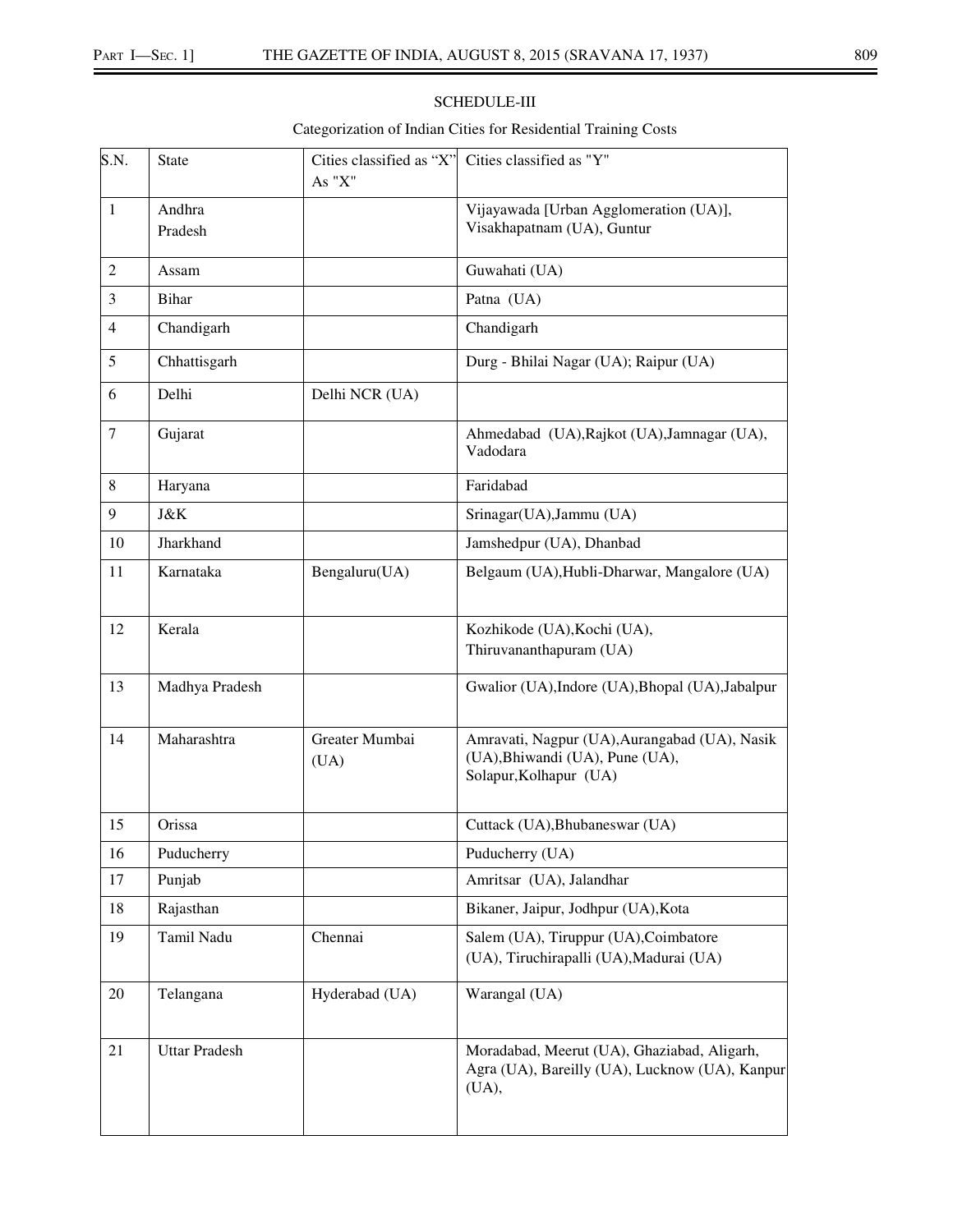# SCHEDULE-III

# Categorization of Indian Cities for Residential Training Costs

| S.N.   | <b>State</b>         | Cities classified as "X"<br>As "X" | Cities classified as "Y"                                                                                   |
|--------|----------------------|------------------------------------|------------------------------------------------------------------------------------------------------------|
| 1      | Andhra<br>Pradesh    |                                    | Vijayawada [Urban Agglomeration (UA)],<br>Visakhapatnam (UA), Guntur                                       |
| 2      | Assam                |                                    | Guwahati (UA)                                                                                              |
| 3      | <b>Bihar</b>         |                                    | Patna (UA)                                                                                                 |
| 4      | Chandigarh           |                                    | Chandigarh                                                                                                 |
| 5      | Chhattisgarh         |                                    | Durg - Bhilai Nagar (UA); Raipur (UA)                                                                      |
| 6      | Delhi                | Delhi NCR (UA)                     |                                                                                                            |
| $\tau$ | Gujarat              |                                    | Ahmedabad (UA), Rajkot (UA), Jamnagar (UA),<br>Vadodara                                                    |
| 8      | Haryana              |                                    | Faridabad                                                                                                  |
| 9      | J&K                  |                                    | Srinagar(UA), Jammu (UA)                                                                                   |
| 10     | Jharkhand            |                                    | Jamshedpur (UA), Dhanbad                                                                                   |
| 11     | Karnataka            | Bengaluru(UA)                      | Belgaum (UA), Hubli-Dharwar, Mangalore (UA)                                                                |
| 12     | Kerala               |                                    | Kozhikode (UA), Kochi (UA),<br>Thiruvananthapuram (UA)                                                     |
| 13     | Madhya Pradesh       |                                    | Gwalior (UA), Indore (UA), Bhopal (UA), Jabalpur                                                           |
| 14     | Maharashtra          | Greater Mumbai<br>(UA)             | Amravati, Nagpur (UA), Aurangabad (UA), Nasik<br>(UA), Bhiwandi (UA), Pune (UA),<br>Solapur, Kolhapur (UA) |
| 15     | Orissa               |                                    | Cuttack (UA), Bhubaneswar (UA)                                                                             |
| 16     | Puducherry           |                                    | Puducherry (UA)                                                                                            |
| 17     | Punjab               |                                    | Amritsar (UA), Jalandhar                                                                                   |
| 18     | Rajasthan            |                                    | Bikaner, Jaipur, Jodhpur (UA), Kota                                                                        |
| 19     | Tamil Nadu           | Chennai                            | Salem (UA), Tiruppur (UA), Coimbatore<br>(UA), Tiruchirapalli (UA), Madurai (UA)                           |
| 20     | Telangana            | Hyderabad (UA)                     | Warangal (UA)                                                                                              |
| 21     | <b>Uttar Pradesh</b> |                                    | Moradabad, Meerut (UA), Ghaziabad, Aligarh,<br>Agra (UA), Bareilly (UA), Lucknow (UA), Kanpur<br>(UA),     |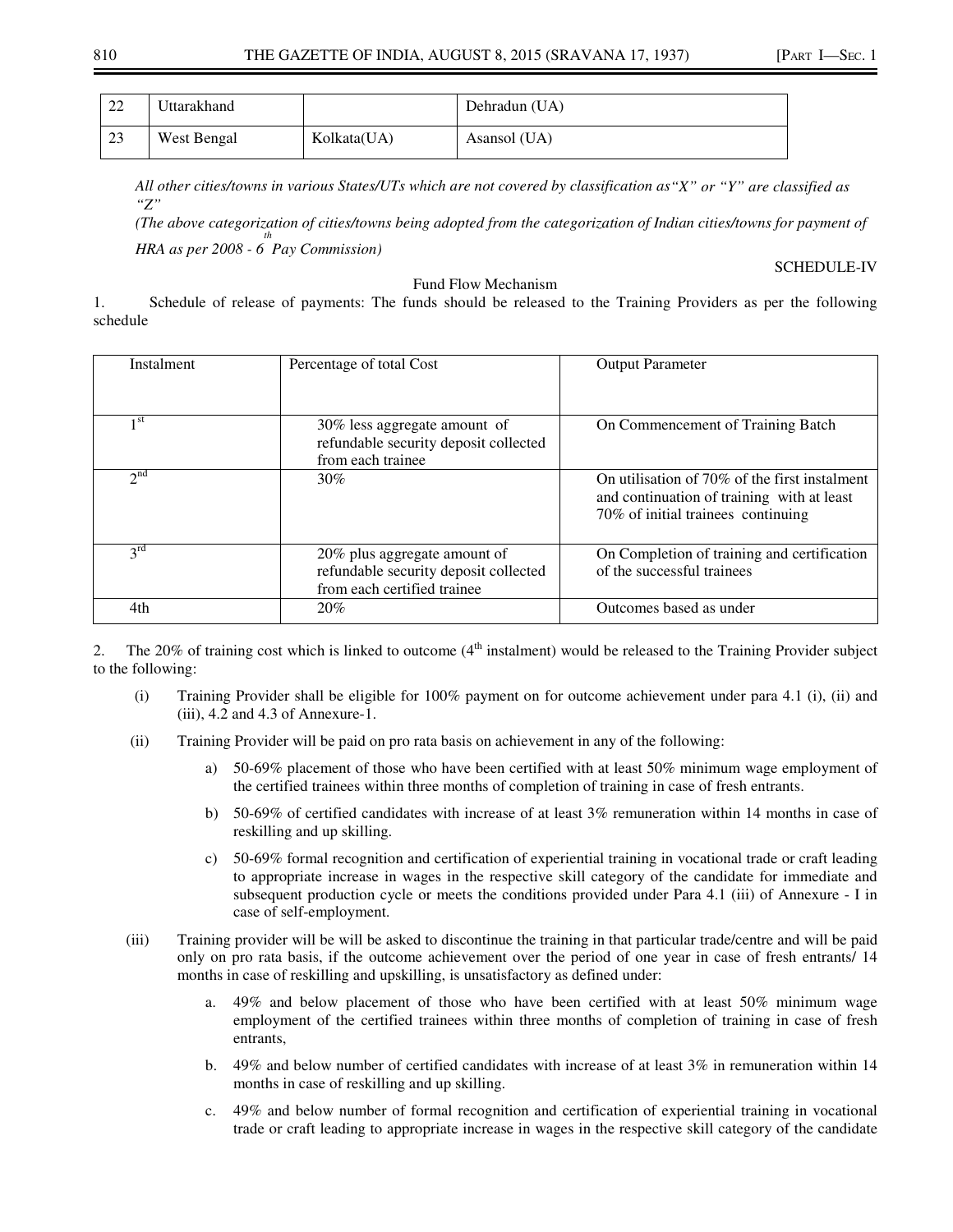| 22 | Uttarakhand |             | Dehradun (UA) |
|----|-------------|-------------|---------------|
| 23 | West Bengal | Kolkata(UA) | Asansol (UA)  |

*All other cities/towns in various States/UTs which are not covered by classification as"X" or "Y" are classified as "Z"* 

*(The above categorization of cities/towns being adopted from the categorization of Indian cities/towns for payment of HRA as per 2008 - 6 Pay Commission) th*

#### SCHEDULE-IV

#### Fund Flow Mechanism

1. Schedule of release of payments: The funds should be released to the Training Providers as per the following schedule

| Instalment      | Percentage of total Cost                                                                             | <b>Output Parameter</b>                                                                                                              |
|-----------------|------------------------------------------------------------------------------------------------------|--------------------------------------------------------------------------------------------------------------------------------------|
| 1 <sup>st</sup> | 30% less aggregate amount of<br>refundable security deposit collected<br>from each trainee           | On Commencement of Training Batch                                                                                                    |
| $2^{nd}$        | 30%                                                                                                  | On utilisation of $70\%$ of the first instalment<br>and continuation of training with at least<br>70% of initial trainees continuing |
| $2^{\text{rd}}$ | 20% plus aggregate amount of<br>refundable security deposit collected<br>from each certified trainee | On Completion of training and certification<br>of the successful trainees                                                            |
| 4th             | 20%                                                                                                  | Outcomes based as under                                                                                                              |

2. The 20% of training cost which is linked to outcome  $(4<sup>th</sup>$  instalment) would be released to the Training Provider subject to the following:

- (i) Training Provider shall be eligible for 100% payment on for outcome achievement under para 4.1 (i), (ii) and (iii), 4.2 and 4.3 of Annexure-1.
- (ii) Training Provider will be paid on pro rata basis on achievement in any of the following:
	- a) 50-69% placement of those who have been certified with at least 50% minimum wage employment of the certified trainees within three months of completion of training in case of fresh entrants.
	- b) 50-69% of certified candidates with increase of at least 3% remuneration within 14 months in case of reskilling and up skilling.
	- c) 50-69% formal recognition and certification of experiential training in vocational trade or craft leading to appropriate increase in wages in the respective skill category of the candidate for immediate and subsequent production cycle or meets the conditions provided under Para 4.1 (iii) of Annexure - I in case of self-employment.
- (iii) Training provider will be will be asked to discontinue the training in that particular trade/centre and will be paid only on pro rata basis, if the outcome achievement over the period of one year in case of fresh entrants/ 14 months in case of reskilling and upskilling, is unsatisfactory as defined under:
	- a. 49% and below placement of those who have been certified with at least 50% minimum wage employment of the certified trainees within three months of completion of training in case of fresh entrants,
	- b. 49% and below number of certified candidates with increase of at least 3% in remuneration within 14 months in case of reskilling and up skilling.
	- c. 49% and below number of formal recognition and certification of experiential training in vocational trade or craft leading to appropriate increase in wages in the respective skill category of the candidate